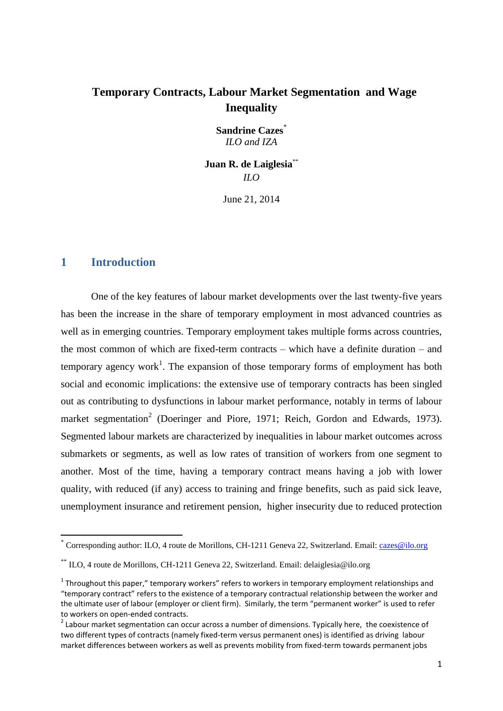# **Temporary Contracts, Labour Market Segmentation and Wage Inequality**

**Sandrine Cazes**\* *ILO and IZA*

**Juan R. de Laiglesia**\*\* *ILO*

June 21, 2014

## **1 Introduction**

 $\overline{a}$ 

One of the key features of labour market developments over the last twenty-five years has been the increase in the share of temporary employment in most advanced countries as well as in emerging countries. Temporary employment takes multiple forms across countries, the most common of which are fixed-term contracts – which have a definite duration – and temporary agency work<sup>1</sup>. The expansion of those temporary forms of employment has both social and economic implications: the extensive use of temporary contracts has been singled out as contributing to dysfunctions in labour market performance, notably in terms of labour market segmentation<sup>2</sup> (Doeringer and Piore, 1971; Reich, Gordon and Edwards, 1973). Segmented labour markets are characterized by inequalities in labour market outcomes across submarkets or segments, as well as low rates of transition of workers from one segment to another. Most of the time, having a temporary contract means having a job with lower quality, with reduced (if any) access to training and fringe benefits, such as paid sick leave, unemployment insurance and retirement pension, higher insecurity due to reduced protection

<sup>\*</sup> Corresponding author: ILO, 4 route de Morillons, CH-1211 Geneva 22, Switzerland. Email: *cazes@ilo.org* 

<sup>\*\*</sup> ILO, 4 route de Morillons, CH-1211 Geneva 22, Switzerland. Email: delaiglesia@ilo.org

 $1$  Throughout this paper," temporary workers" refers to workers in temporary employment relationships and "temporary contract" refers to the existence of a temporary contractual relationship between the worker and the ultimate user of labour (employer or client firm). Similarly, the term "permanent worker" is used to refer to workers on open-ended contracts.

<sup>&</sup>lt;sup>2</sup> Labour market segmentation can occur across a number of dimensions. Typically here, the coexistence of two different types of contracts (namely fixed-term versus permanent ones) is identified as driving labour market differences between workers as well as prevents mobility from fixed-term towards permanent jobs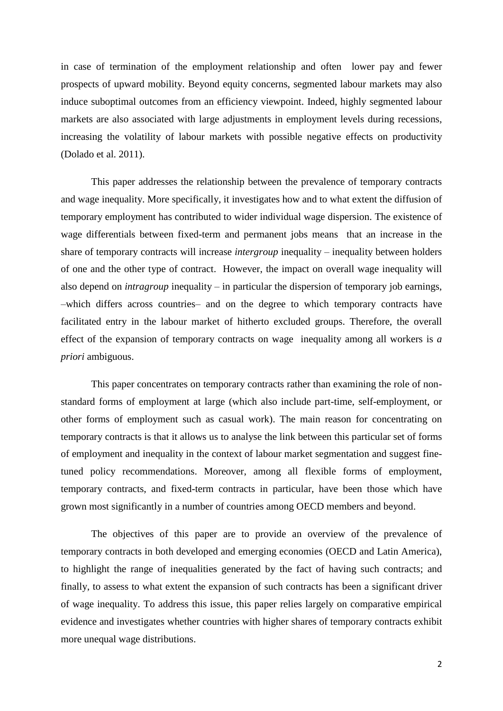in case of termination of the employment relationship and often lower pay and fewer prospects of upward mobility. Beyond equity concerns, segmented labour markets may also induce suboptimal outcomes from an efficiency viewpoint. Indeed, highly segmented labour markets are also associated with large adjustments in employment levels during recessions, increasing the volatility of labour markets with possible negative effects on productivity (Dolado et al. 2011).

This paper addresses the relationship between the prevalence of temporary contracts and wage inequality. More specifically, it investigates how and to what extent the diffusion of temporary employment has contributed to wider individual wage dispersion. The existence of wage differentials between fixed-term and permanent jobs means that an increase in the share of temporary contracts will increase *intergroup* inequality – inequality between holders of one and the other type of contract. However, the impact on overall wage inequality will also depend on *intragroup* inequality – in particular the dispersion of temporary job earnings, –which differs across countries– and on the degree to which temporary contracts have facilitated entry in the labour market of hitherto excluded groups. Therefore, the overall effect of the expansion of temporary contracts on wage inequality among all workers is *a priori* ambiguous.

This paper concentrates on temporary contracts rather than examining the role of nonstandard forms of employment at large (which also include part-time, self-employment, or other forms of employment such as casual work). The main reason for concentrating on temporary contracts is that it allows us to analyse the link between this particular set of forms of employment and inequality in the context of labour market segmentation and suggest finetuned policy recommendations. Moreover, among all flexible forms of employment, temporary contracts, and fixed-term contracts in particular, have been those which have grown most significantly in a number of countries among OECD members and beyond.

The objectives of this paper are to provide an overview of the prevalence of temporary contracts in both developed and emerging economies (OECD and Latin America), to highlight the range of inequalities generated by the fact of having such contracts; and finally, to assess to what extent the expansion of such contracts has been a significant driver of wage inequality. To address this issue, this paper relies largely on comparative empirical evidence and investigates whether countries with higher shares of temporary contracts exhibit more unequal wage distributions.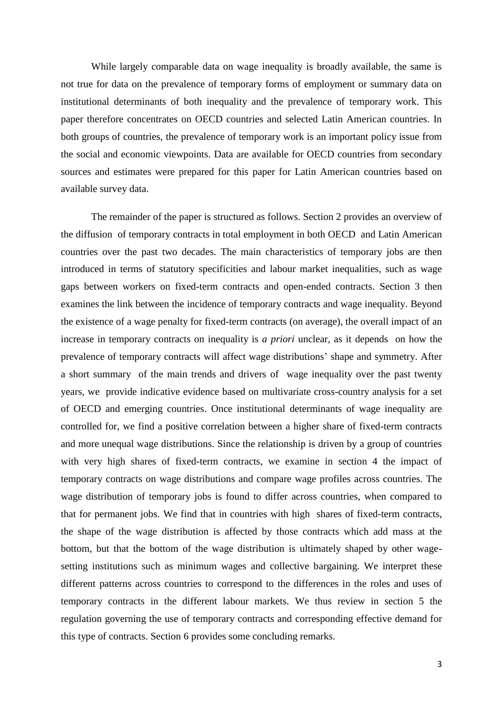While largely comparable data on wage inequality is broadly available, the same is not true for data on the prevalence of temporary forms of employment or summary data on institutional determinants of both inequality and the prevalence of temporary work. This paper therefore concentrates on OECD countries and selected Latin American countries. In both groups of countries, the prevalence of temporary work is an important policy issue from the social and economic viewpoints. Data are available for OECD countries from secondary sources and estimates were prepared for this paper for Latin American countries based on available survey data.

The remainder of the paper is structured as follows. Section 2 provides an overview of the diffusion of temporary contracts in total employment in both OECD and Latin American countries over the past two decades. The main characteristics of temporary jobs are then introduced in terms of statutory specificities and labour market inequalities, such as wage gaps between workers on fixed-term contracts and open-ended contracts. Section 3 then examines the link between the incidence of temporary contracts and wage inequality. Beyond the existence of a wage penalty for fixed-term contracts (on average), the overall impact of an increase in temporary contracts on inequality is *a priori* unclear, as it depends on how the prevalence of temporary contracts will affect wage distributions' shape and symmetry. After a short summary of the main trends and drivers of wage inequality over the past twenty years, we provide indicative evidence based on multivariate cross-country analysis for a set of OECD and emerging countries. Once institutional determinants of wage inequality are controlled for, we find a positive correlation between a higher share of fixed-term contracts and more unequal wage distributions. Since the relationship is driven by a group of countries with very high shares of fixed-term contracts, we examine in section 4 the impact of temporary contracts on wage distributions and compare wage profiles across countries. The wage distribution of temporary jobs is found to differ across countries, when compared to that for permanent jobs. We find that in countries with high shares of fixed-term contracts, the shape of the wage distribution is affected by those contracts which add mass at the bottom, but that the bottom of the wage distribution is ultimately shaped by other wagesetting institutions such as minimum wages and collective bargaining. We interpret these different patterns across countries to correspond to the differences in the roles and uses of temporary contracts in the different labour markets. We thus review in section 5 the regulation governing the use of temporary contracts and corresponding effective demand for this type of contracts. Section 6 provides some concluding remarks.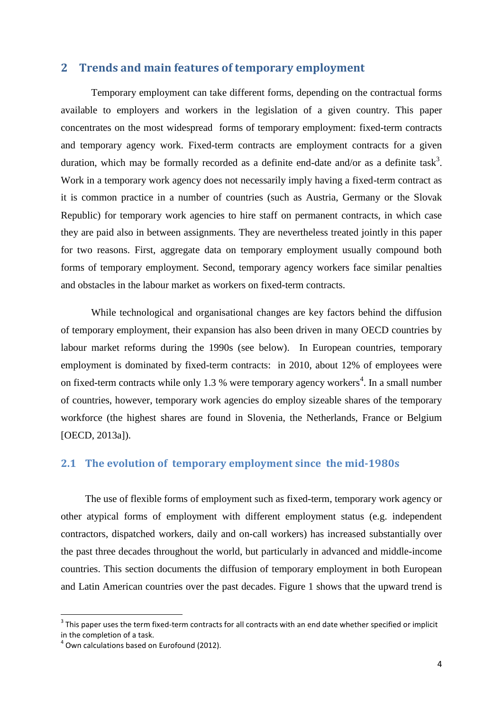## **2 Trends and main features of temporary employment**

Temporary employment can take different forms, depending on the contractual forms available to employers and workers in the legislation of a given country. This paper concentrates on the most widespread forms of temporary employment: fixed-term contracts and temporary agency work. Fixed-term contracts are employment contracts for a given duration, which may be formally recorded as a definite end-date and/or as a definite task<sup>3</sup>. Work in a temporary work agency does not necessarily imply having a fixed-term contract as it is common practice in a number of countries (such as Austria, Germany or the Slovak Republic) for temporary work agencies to hire staff on permanent contracts, in which case they are paid also in between assignments. They are nevertheless treated jointly in this paper for two reasons. First, aggregate data on temporary employment usually compound both forms of temporary employment. Second, temporary agency workers face similar penalties and obstacles in the labour market as workers on fixed-term contracts.

While technological and organisational changes are key factors behind the diffusion of temporary employment, their expansion has also been driven in many OECD countries by labour market reforms during the 1990s (see below). In European countries, temporary employment is dominated by fixed-term contracts: in 2010, about 12% of employees were on fixed-term contracts while only 1.3 % were temporary agency workers<sup>4</sup>. In a small number of countries, however, temporary work agencies do employ sizeable shares of the temporary workforce (the highest shares are found in Slovenia, the Netherlands, France or Belgium [OECD, 2013a]).

## **2.1 The evolution of temporary employment since the mid-1980s**

The use of flexible forms of employment such as fixed-term, temporary work agency or other atypical forms of employment with different employment status (e.g. independent contractors, dispatched workers, daily and on-call workers) has increased substantially over the past three decades throughout the world, but particularly in advanced and middle-income countries. This section documents the diffusion of temporary employment in both European and Latin American countries over the past decades. Figure 1 shows that the upward trend is

**.** 

 $3$  This paper uses the term fixed-term contracts for all contracts with an end date whether specified or implicit in the completion of a task.

 $<sup>4</sup>$  Own calculations based on Eurofound (2012).</sup>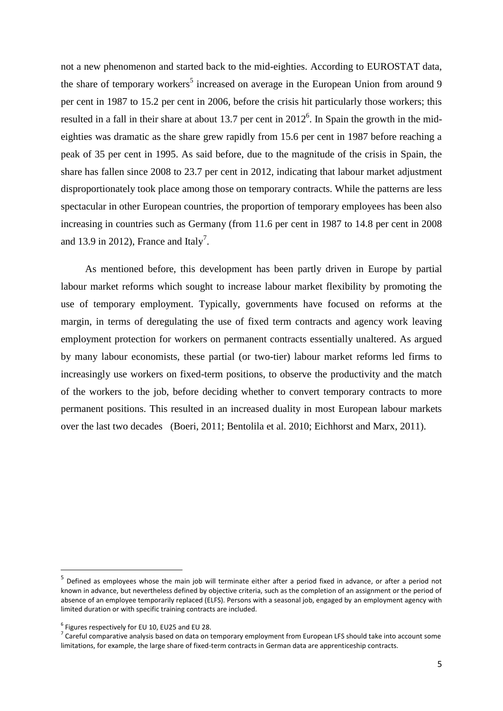not a new phenomenon and started back to the mid-eighties. According to EUROSTAT data, the share of temporary workers<sup>5</sup> increased on average in the European Union from around 9 per cent in 1987 to 15.2 per cent in 2006, before the crisis hit particularly those workers; this resulted in a fall in their share at about 13.7 per cent in  $2012^6$ . In Spain the growth in the mideighties was dramatic as the share grew rapidly from 15.6 per cent in 1987 before reaching a peak of 35 per cent in 1995. As said before, due to the magnitude of the crisis in Spain, the share has fallen since 2008 to 23.7 per cent in 2012, indicating that labour market adjustment disproportionately took place among those on temporary contracts. While the patterns are less spectacular in other European countries, the proportion of temporary employees has been also increasing in countries such as Germany (from 11.6 per cent in 1987 to 14.8 per cent in 2008 and 13.9 in 2012), France and Italy<sup>7</sup>.

As mentioned before, this development has been partly driven in Europe by partial labour market reforms which sought to increase labour market flexibility by promoting the use of temporary employment. Typically, governments have focused on reforms at the margin, in terms of deregulating the use of fixed term contracts and agency work leaving employment protection for workers on permanent contracts essentially unaltered. As argued by many labour economists, these partial (or two-tier) labour market reforms led firms to increasingly use workers on fixed-term positions, to observe the productivity and the match of the workers to the job, before deciding whether to convert temporary contracts to more permanent positions. This resulted in an increased duality in most European labour markets over the last two decades (Boeri, 2011; Bentolila et al. 2010; Eichhorst and Marx, 2011).

**.** 

<sup>&</sup>lt;sup>5</sup> Defined as employees whose the main job will terminate either after a period fixed in advance, or after a period not known in advance, but nevertheless defined by objective criteria, such as the completion of an assignment or the period of absence of an employee temporarily replaced (ELFS). Persons with a seasonal job, engaged by an employment agency with limited duration or with specific training contracts are included.

 $<sup>6</sup>$  Figures respectively for EU 10, EU25 and EU 28.</sup>

 $^7$  Careful comparative analysis based on data on temporary employment from European LFS should take into account some limitations, for example, the large share of fixed-term contracts in German data are apprenticeship contracts.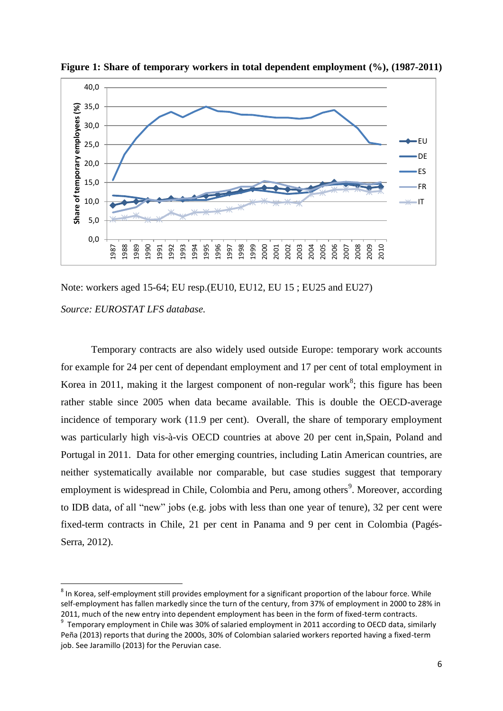

**Figure 1: Share of temporary workers in total dependent employment (%), (1987-2011)**

Note: workers aged 15-64; EU resp.(EU10, EU12, EU 15 ; EU25 and EU27)

## *Source: EUROSTAT LFS database.*

**.** 

Temporary contracts are also widely used outside Europe: temporary work accounts for example for 24 per cent of dependant employment and 17 per cent of total employment in Korea in 2011, making it the largest component of non-regular work<sup>8</sup>; this figure has been rather stable since 2005 when data became available. This is double the OECD-average incidence of temporary work (11.9 per cent). Overall, the share of temporary employment was particularly high vis-à-vis OECD countries at above 20 per cent in,Spain, Poland and Portugal in 2011. Data for other emerging countries, including Latin American countries, are neither systematically available nor comparable, but case studies suggest that temporary employment is widespread in Chile, Colombia and Peru, among others<sup>9</sup>. Moreover, according to IDB data, of all "new" jobs (e.g. jobs with less than one year of tenure), 32 per cent were fixed-term contracts in Chile, 21 per cent in Panama and 9 per cent in Colombia (Pagés-Serra, 2012).

 $^8$  In Korea, self-employment still provides employment for a significant proportion of the labour force. While self-employment has fallen markedly since the turn of the century, from 37% of employment in 2000 to 28% in 2011, much of the new entry into dependent employment has been in the form of fixed-term contracts.

 $^{9}$  Temporary employment in Chile was 30% of salaried employment in 2011 according to OECD data, similarly Peña (2013) reports that during the 2000s, 30% of Colombian salaried workers reported having a fixed-term job. See Jaramillo (2013) for the Peruvian case.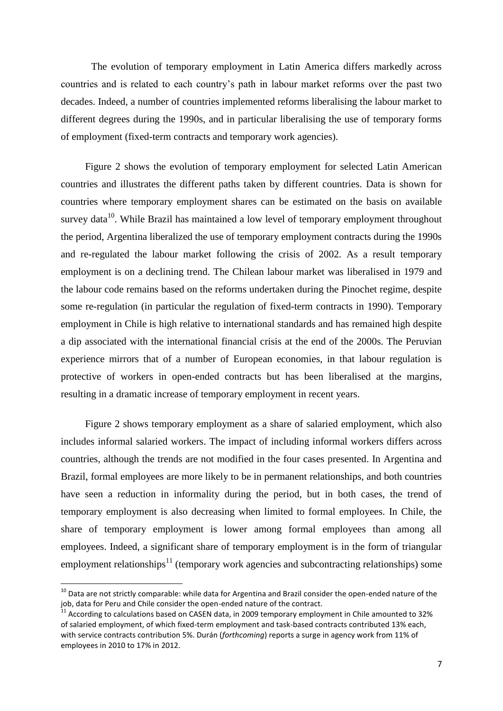The evolution of temporary employment in Latin America differs markedly across countries and is related to each country's path in labour market reforms over the past two decades. Indeed, a number of countries implemented reforms liberalising the labour market to different degrees during the 1990s, and in particular liberalising the use of temporary forms of employment (fixed-term contracts and temporary work agencies).

Figure 2 shows the evolution of temporary employment for selected Latin American countries and illustrates the different paths taken by different countries. Data is shown for countries where temporary employment shares can be estimated on the basis on available survey data $10$ . While Brazil has maintained a low level of temporary employment throughout the period, Argentina liberalized the use of temporary employment contracts during the 1990s and re-regulated the labour market following the crisis of 2002. As a result temporary employment is on a declining trend. The Chilean labour market was liberalised in 1979 and the labour code remains based on the reforms undertaken during the Pinochet regime, despite some re-regulation (in particular the regulation of fixed-term contracts in 1990). Temporary employment in Chile is high relative to international standards and has remained high despite a dip associated with the international financial crisis at the end of the 2000s. The Peruvian experience mirrors that of a number of European economies, in that labour regulation is protective of workers in open-ended contracts but has been liberalised at the margins, resulting in a dramatic increase of temporary employment in recent years.

Figure 2 shows temporary employment as a share of salaried employment, which also includes informal salaried workers. The impact of including informal workers differs across countries, although the trends are not modified in the four cases presented. In Argentina and Brazil, formal employees are more likely to be in permanent relationships, and both countries have seen a reduction in informality during the period, but in both cases, the trend of temporary employment is also decreasing when limited to formal employees. In Chile, the share of temporary employment is lower among formal employees than among all employees. Indeed, a significant share of temporary employment is in the form of triangular employment relationships<sup>11</sup> (temporary work agencies and subcontracting relationships) some

**.** 

 $10$  Data are not strictly comparable: while data for Argentina and Brazil consider the open-ended nature of the job, data for Peru and Chile consider the open-ended nature of the contract.

 $11$  According to calculations based on CASEN data, in 2009 temporary employment in Chile amounted to 32% of salaried employment, of which fixed-term employment and task-based contracts contributed 13% each, with service contracts contribution 5%. Durán (*forthcoming*) reports a surge in agency work from 11% of employees in 2010 to 17% in 2012.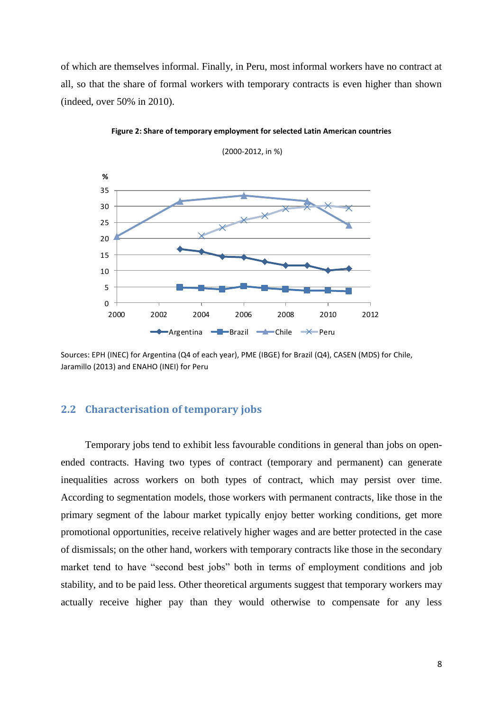of which are themselves informal. Finally, in Peru, most informal workers have no contract at all, so that the share of formal workers with temporary contracts is even higher than shown (indeed, over 50% in 2010).



**Figure 2: Share of temporary employment for selected Latin American countries**

(2000-2012, in %)

Sources: EPH (INEC) for Argentina (Q4 of each year), PME (IBGE) for Brazil (Q4), CASEN (MDS) for Chile, Jaramillo (2013) and ENAHO (INEI) for Peru

## **2.2 Characterisation of temporary jobs**

Temporary jobs tend to exhibit less favourable conditions in general than jobs on openended contracts. Having two types of contract (temporary and permanent) can generate inequalities across workers on both types of contract, which may persist over time. According to segmentation models, those workers with permanent contracts, like those in the primary segment of the labour market typically enjoy better working conditions, get more promotional opportunities, receive relatively higher wages and are better protected in the case of dismissals; on the other hand, workers with temporary contracts like those in the secondary market tend to have "second best jobs" both in terms of employment conditions and job stability, and to be paid less. Other theoretical arguments suggest that temporary workers may actually receive higher pay than they would otherwise to compensate for any less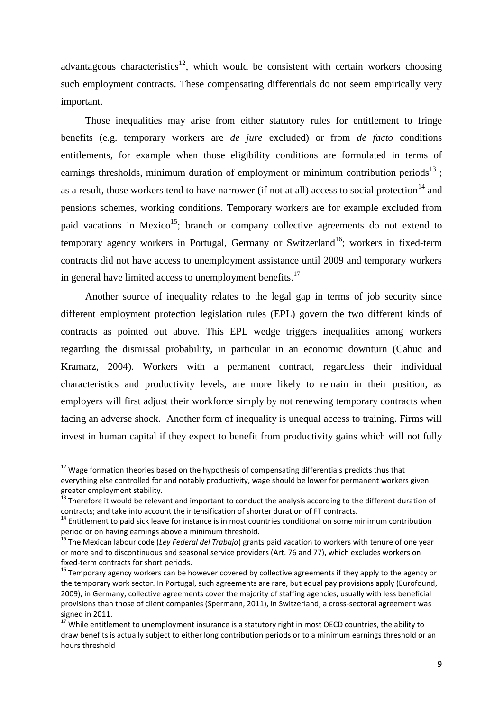advantageous characteristics<sup>12</sup>, which would be consistent with certain workers choosing such employment contracts. These compensating differentials do not seem empirically very important.

Those inequalities may arise from either statutory rules for entitlement to fringe benefits (e.g. temporary workers are *de jure* excluded) or from *de facto* conditions entitlements, for example when those eligibility conditions are formulated in terms of earnings thresholds, minimum duration of employment or minimum contribution periods $^{13}$ ; as a result, those workers tend to have narrower (if not at all) access to social protection<sup>14</sup> and pensions schemes, working conditions. Temporary workers are for example excluded from paid vacations in Mexico<sup>15</sup>; branch or company collective agreements do not extend to temporary agency workers in Portugal, Germany or Switzerland<sup>16</sup>; workers in fixed-term contracts did not have access to unemployment assistance until 2009 and temporary workers in general have limited access to unemployment benefits.<sup>17</sup>

Another source of inequality relates to the legal gap in terms of job security since different employment protection legislation rules (EPL) govern the two different kinds of contracts as pointed out above. This EPL wedge triggers inequalities among workers regarding the dismissal probability, in particular in an economic downturn (Cahuc and Kramarz, 2004). Workers with a permanent contract, regardless their individual characteristics and productivity levels, are more likely to remain in their position, as employers will first adjust their workforce simply by not renewing temporary contracts when facing an adverse shock. Another form of inequality is unequal access to training. Firms will invest in human capital if they expect to benefit from productivity gains which will not fully

1

 $12$  Wage formation theories based on the hypothesis of compensating differentials predicts thus that everything else controlled for and notably productivity, wage should be lower for permanent workers given greater employment stability.

 $^{13}$  Therefore it would be relevant and important to conduct the analysis according to the different duration of contracts; and take into account the intensification of shorter duration of FT contracts.

<sup>&</sup>lt;sup>14</sup> Entitlement to paid sick leave for instance is in most countries conditional on some minimum contribution period or on having earnings above a minimum threshold.

<sup>15</sup> The Mexican labour code (*Ley Federal del Trabajo*) grants paid vacation to workers with tenure of one year or more and to discontinuous and seasonal service providers (Art. 76 and 77), which excludes workers on fixed-term contracts for short periods.

 $16$  Temporary agency workers can be however covered by collective agreements if they apply to the agency or the temporary work sector. In Portugal, such agreements are rare, but equal pay provisions apply (Eurofound, 2009), in Germany, collective agreements cover the majority of staffing agencies, usually with less beneficial provisions than those of client companies (Spermann, 2011), in Switzerland, a cross-sectoral agreement was signed in 2011.

 $<sup>7</sup>$  While entitlement to unemployment insurance is a statutory right in most OECD countries, the ability to</sup> draw benefits is actually subject to either long contribution periods or to a minimum earnings threshold or an hours threshold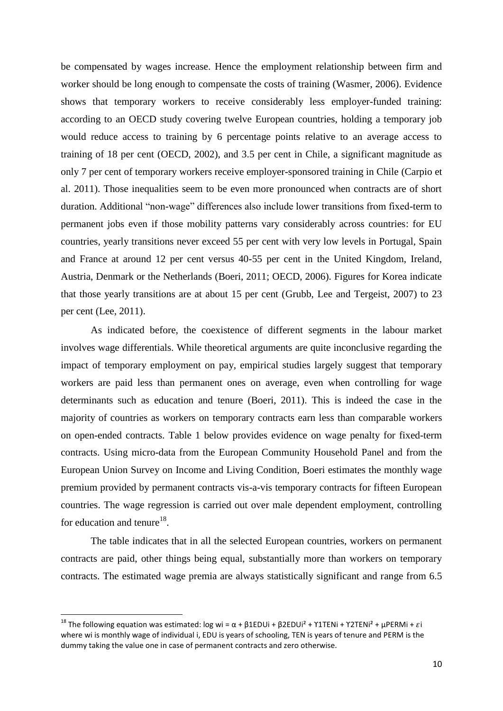be compensated by wages increase. Hence the employment relationship between firm and worker should be long enough to compensate the costs of training (Wasmer, 2006). Evidence shows that temporary workers to receive considerably less employer-funded training: according to an OECD study covering twelve European countries, holding a temporary job would reduce access to training by 6 percentage points relative to an average access to training of 18 per cent (OECD, 2002), and 3.5 per cent in Chile, a significant magnitude as only 7 per cent of temporary workers receive employer-sponsored training in Chile (Carpio et al. 2011). Those inequalities seem to be even more pronounced when contracts are of short duration. Additional "non-wage" differences also include lower transitions from fixed-term to permanent jobs even if those mobility patterns vary considerably across countries: for EU countries, yearly transitions never exceed 55 per cent with very low levels in Portugal, Spain and France at around 12 per cent versus 40-55 per cent in the United Kingdom, Ireland, Austria, Denmark or the Netherlands (Boeri, 2011; OECD, 2006). Figures for Korea indicate that those yearly transitions are at about 15 per cent (Grubb, Lee and Tergeist, 2007) to 23 per cent (Lee, 2011).

As indicated before, the coexistence of different segments in the labour market involves wage differentials. While theoretical arguments are quite inconclusive regarding the impact of temporary employment on pay, empirical studies largely suggest that temporary workers are paid less than permanent ones on average, even when controlling for wage determinants such as education and tenure (Boeri, 2011). This is indeed the case in the majority of countries as workers on temporary contracts earn less than comparable workers on open-ended contracts. Table 1 below provides evidence on wage penalty for fixed-term contracts. Using micro-data from the European Community Household Panel and from the European Union Survey on Income and Living Condition, Boeri estimates the monthly wage premium provided by permanent contracts vis*-*a*-*vis temporary contracts for fifteen European countries. The wage regression is carried out over male dependent employment, controlling for education and tenure<sup>18</sup>.

The table indicates that in all the selected European countries, workers on permanent contracts are paid, other things being equal, substantially more than workers on temporary contracts. The estimated wage premia are always statistically significant and range from 6.5

**.** 

<sup>&</sup>lt;sup>18</sup> The following equation was estimated: log wi =  $\alpha$  + β1EDUi + β2EDUi<sup>2</sup> + Y1TENi + Y2TENi<sup>2</sup> + μPERMi + εi where wi is monthly wage of individual i, EDU is years of schooling, TEN is years of tenure and PERM is the dummy taking the value one in case of permanent contracts and zero otherwise.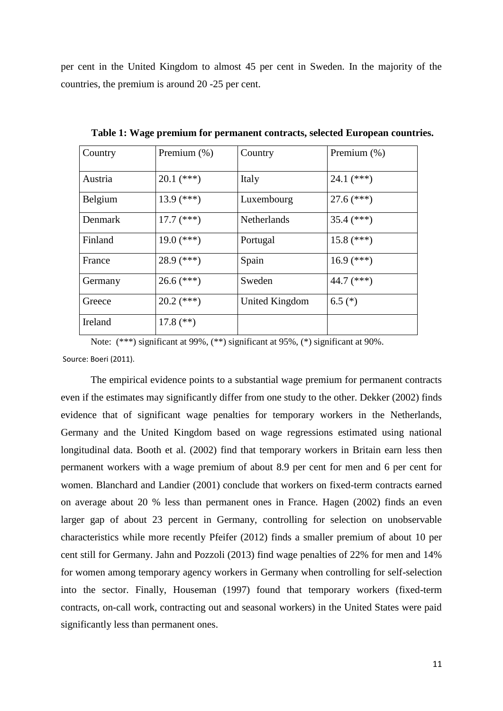per cent in the United Kingdom to almost 45 per cent in Sweden. In the majority of the countries, the premium is around 20 -25 per cent.

| Country | Premium $(\%)$ | Country            | Premium $(\%)$ |
|---------|----------------|--------------------|----------------|
| Austria | $20.1$ (***)   | Italy              | 24.1 $(***)$   |
| Belgium | $13.9$ (***)   | Luxembourg         | $27.6$ (***)   |
| Denmark | $17.7$ (***)   | <b>Netherlands</b> | $35.4$ (***)   |
| Finland | $19.0$ (***)   | Portugal           | $15.8$ (***)   |
| France  | $28.9$ (***)   | Spain              | $16.9$ (***)   |
| Germany | $26.6$ (***)   | Sweden             | 44.7 $(***)$   |
| Greece  | $20.2$ (***)   | United Kingdom     | $6.5$ (*)      |
| Ireland | 17.8 $(**)$    |                    |                |

 **Table 1: Wage premium for permanent contracts, selected European countries.**

Note: (\*\*\*) significant at 99%, (\*\*) significant at 95%, (\*) significant at 90%.

Source: Boeri (2011).

The empirical evidence points to a substantial wage premium for permanent contracts even if the estimates may significantly differ from one study to the other. Dekker (2002) finds evidence that of significant wage penalties for temporary workers in the Netherlands, Germany and the United Kingdom based on wage regressions estimated using national longitudinal data. Booth et al. (2002) find that temporary workers in Britain earn less then permanent workers with a wage premium of about 8.9 per cent for men and 6 per cent for women. Blanchard and Landier (2001) conclude that workers on fixed-term contracts earned on average about 20 % less than permanent ones in France. Hagen (2002) finds an even larger gap of about 23 percent in Germany, controlling for selection on unobservable characteristics while more recently Pfeifer (2012) finds a smaller premium of about 10 per cent still for Germany. Jahn and Pozzoli (2013) find wage penalties of 22% for men and 14% for women among temporary agency workers in Germany when controlling for self-selection into the sector. Finally, Houseman (1997) found that temporary workers (fixed-term contracts, on-call work, contracting out and seasonal workers) in the United States were paid significantly less than permanent ones.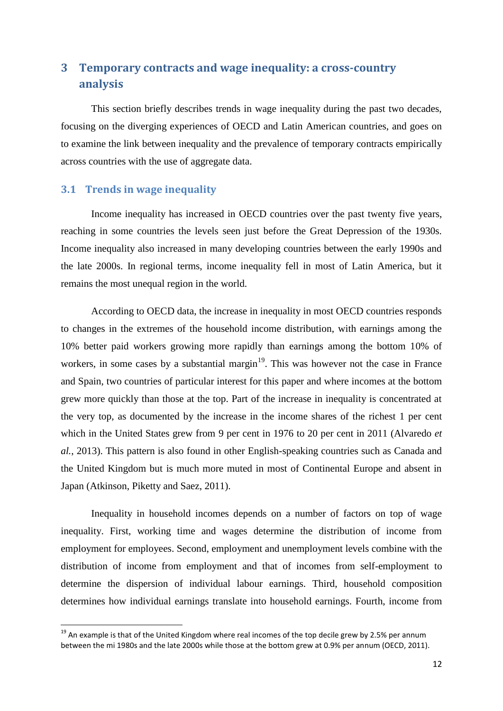# **3 Temporary contracts and wage inequality: a cross-country analysis**

This section briefly describes trends in wage inequality during the past two decades, focusing on the diverging experiences of OECD and Latin American countries, and goes on to examine the link between inequality and the prevalence of temporary contracts empirically across countries with the use of aggregate data.

## **3.1 Trends in wage inequality**

1

Income inequality has increased in OECD countries over the past twenty five years, reaching in some countries the levels seen just before the Great Depression of the 1930s. Income inequality also increased in many developing countries between the early 1990s and the late 2000s. In regional terms, income inequality fell in most of Latin America, but it remains the most unequal region in the world.

According to OECD data, the increase in inequality in most OECD countries responds to changes in the extremes of the household income distribution, with earnings among the 10% better paid workers growing more rapidly than earnings among the bottom 10% of workers, in some cases by a substantial margin $19$ . This was however not the case in France and Spain, two countries of particular interest for this paper and where incomes at the bottom grew more quickly than those at the top. Part of the increase in inequality is concentrated at the very top, as documented by the increase in the income shares of the richest 1 per cent which in the United States grew from 9 per cent in 1976 to 20 per cent in 2011 (Alvaredo *et al.*, 2013). This pattern is also found in other English-speaking countries such as Canada and the United Kingdom but is much more muted in most of Continental Europe and absent in Japan (Atkinson, Piketty and Saez, 2011).

Inequality in household incomes depends on a number of factors on top of wage inequality. First, working time and wages determine the distribution of income from employment for employees. Second, employment and unemployment levels combine with the distribution of income from employment and that of incomes from self-employment to determine the dispersion of individual labour earnings. Third, household composition determines how individual earnings translate into household earnings. Fourth, income from

 $19$  An example is that of the United Kingdom where real incomes of the top decile grew by 2.5% per annum between the mi 1980s and the late 2000s while those at the bottom grew at 0.9% per annum (OECD, 2011).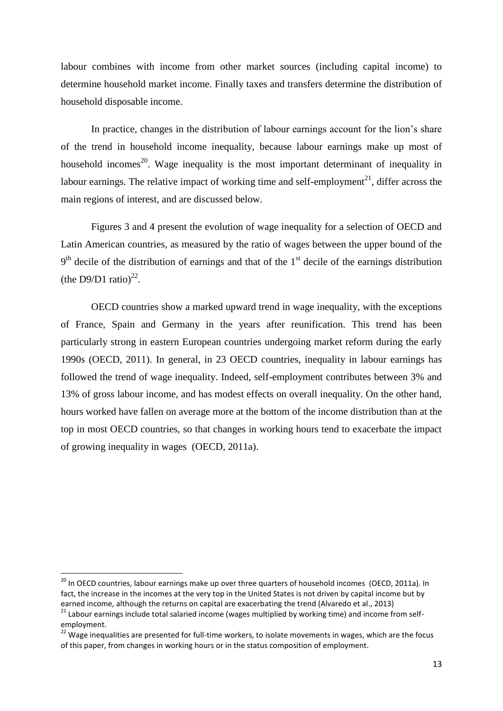labour combines with income from other market sources (including capital income) to determine household market income. Finally taxes and transfers determine the distribution of household disposable income.

In practice, changes in the distribution of labour earnings account for the lion's share of the trend in household income inequality, because labour earnings make up most of household incomes<sup>20</sup>. Wage inequality is the most important determinant of inequality in labour earnings. The relative impact of working time and self-employment<sup>21</sup>, differ across the main regions of interest, and are discussed below.

Figures 3 and 4 present the evolution of wage inequality for a selection of OECD and Latin American countries, as measured by the ratio of wages between the upper bound of the  $9<sup>th</sup>$  decile of the distribution of earnings and that of the  $1<sup>st</sup>$  decile of the earnings distribution (the D9/D1 ratio)<sup>22</sup>.

OECD countries show a marked upward trend in wage inequality, with the exceptions of France, Spain and Germany in the years after reunification. This trend has been particularly strong in eastern European countries undergoing market reform during the early 1990s (OECD, 2011). In general, in 23 OECD countries, inequality in labour earnings has followed the trend of wage inequality. Indeed, self-employment contributes between 3% and 13% of gross labour income, and has modest effects on overall inequality. On the other hand, hours worked have fallen on average more at the bottom of the income distribution than at the top in most OECD countries, so that changes in working hours tend to exacerbate the impact of growing inequality in wages (OECD, 2011a).

 $\overline{a}$ 

<sup>&</sup>lt;sup>20</sup> In OECD countries, labour earnings make up over three quarters of household incomes (OECD, 2011a). In fact, the increase in the incomes at the very top in the United States is not driven by capital income but by earned income, although the returns on capital are exacerbating the trend (Alvaredo et al., 2013)

<sup>&</sup>lt;sup>21</sup> Labour earnings include total salaried income (wages multiplied by working time) and income from selfemployment.

 $22$  Wage inequalities are presented for full-time workers, to isolate movements in wages, which are the focus of this paper, from changes in working hours or in the status composition of employment.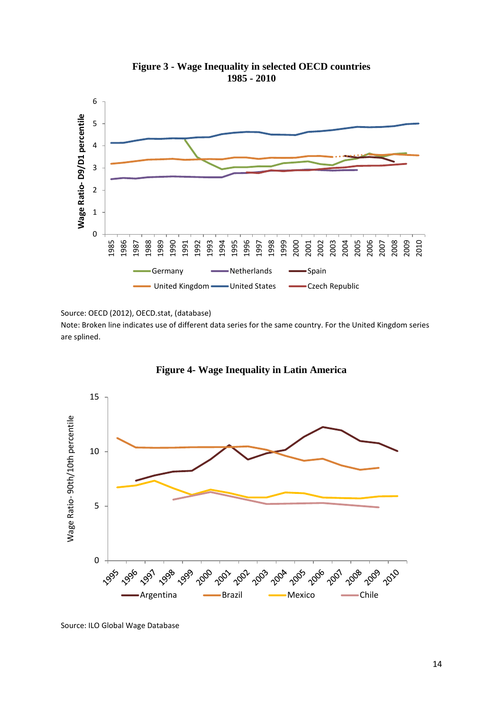

**Figure 3 - Wage Inequality in selected OECD countries 1985 - 2010**

Source: OECD (2012), OECD.stat, (database)

Note: Broken line indicates use of different data series for the same country. For the United Kingdom series are splined.



**Figure 4- Wage Inequality in Latin America**

Source: ILO Global Wage Database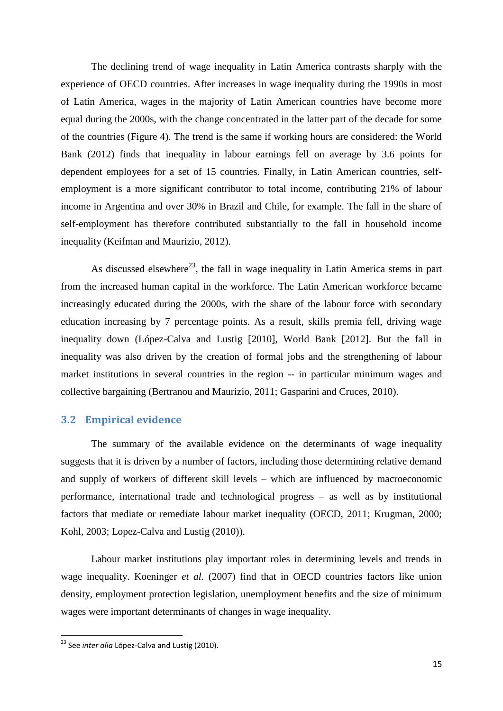The declining trend of wage inequality in Latin America contrasts sharply with the experience of OECD countries. After increases in wage inequality during the 1990s in most of Latin America, wages in the majority of Latin American countries have become more equal during the 2000s, with the change concentrated in the latter part of the decade for some of the countries (Figure 4). The trend is the same if working hours are considered: the World Bank (2012) finds that inequality in labour earnings fell on average by 3.6 points for dependent employees for a set of 15 countries. Finally, in Latin American countries, selfemployment is a more significant contributor to total income, contributing 21% of labour income in Argentina and over 30% in Brazil and Chile, for example. The fall in the share of self-employment has therefore contributed substantially to the fall in household income inequality (Keifman and Maurizio, 2012).

As discussed elsewhere<sup>23</sup>, the fall in wage inequality in Latin America stems in part from the increased human capital in the workforce. The Latin American workforce became increasingly educated during the 2000s, with the share of the labour force with secondary education increasing by 7 percentage points. As a result, skills premia fell, driving wage inequality down (López-Calva and Lustig [2010], World Bank [2012]. But the fall in inequality was also driven by the creation of formal jobs and the strengthening of labour market institutions in several countries in the region -- in particular minimum wages and collective bargaining (Bertranou and Maurizio, 2011; Gasparini and Cruces, 2010).

### **3.2 Empirical evidence**

The summary of the available evidence on the determinants of wage inequality suggests that it is driven by a number of factors, including those determining relative demand and supply of workers of different skill levels – which are influenced by macroeconomic performance, international trade and technological progress – as well as by institutional factors that mediate or remediate labour market inequality (OECD, 2011; Krugman, 2000; Kohl, 2003; Lopez-Calva and Lustig (2010)).

Labour market institutions play important roles in determining levels and trends in wage inequality. Koeninger *et al.* (2007) find that in OECD countries factors like union density, employment protection legislation, unemployment benefits and the size of minimum wages were important determinants of changes in wage inequality.

**.** 

<sup>&</sup>lt;sup>23</sup> See *inter alia* López-Calva and Lustig (2010).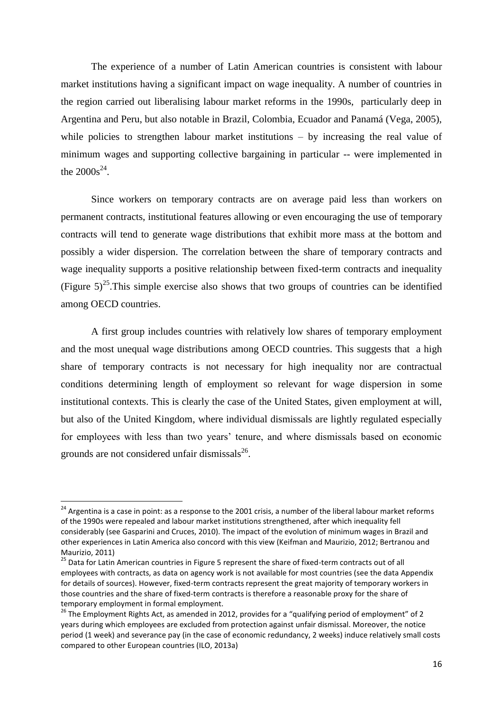The experience of a number of Latin American countries is consistent with labour market institutions having a significant impact on wage inequality. A number of countries in the region carried out liberalising labour market reforms in the 1990s, particularly deep in Argentina and Peru, but also notable in Brazil, Colombia, Ecuador and Panamá (Vega, 2005), while policies to strengthen labour market institutions – by increasing the real value of minimum wages and supporting collective bargaining in particular -- were implemented in the  $2000s^{24}$ .

Since workers on temporary contracts are on average paid less than workers on permanent contracts, institutional features allowing or even encouraging the use of temporary contracts will tend to generate wage distributions that exhibit more mass at the bottom and possibly a wider dispersion. The correlation between the share of temporary contracts and wage inequality supports a positive relationship between fixed-term contracts and inequality (Figure  $5)^{25}$ . This simple exercise also shows that two groups of countries can be identified among OECD countries.

A first group includes countries with relatively low shares of temporary employment and the most unequal wage distributions among OECD countries. This suggests that a high share of temporary contracts is not necessary for high inequality nor are contractual conditions determining length of employment so relevant for wage dispersion in some institutional contexts. This is clearly the case of the United States, given employment at will, but also of the United Kingdom, where individual dismissals are lightly regulated especially for employees with less than two years' tenure, and where dismissals based on economic grounds are not considered unfair dismissals $^{26}$ .

 $\overline{a}$ 

<sup>&</sup>lt;sup>24</sup> Argentina is a case in point: as a response to the 2001 crisis, a number of the liberal labour market reforms of the 1990s were repealed and labour market institutions strengthened, after which inequality fell considerably (see Gasparini and Cruces, 2010). The impact of the evolution of minimum wages in Brazil and other experiences in Latin America also concord with this view (Keifman and Maurizio, 2012; Bertranou and Maurizio, 2011)

<sup>&</sup>lt;sup>25</sup> Data for Latin American countries in Figure 5 represent the share of fixed-term contracts out of all employees with contracts, as data on agency work is not available for most countries (see the data Appendix for details of sources). However, fixed-term contracts represent the great majority of temporary workers in those countries and the share of fixed-term contracts is therefore a reasonable proxy for the share of temporary employment in formal employment.

<sup>&</sup>lt;sup>26</sup> The Employment Rights Act, as amended in 2012, provides for a "qualifying period of employment" of 2 years during which employees are excluded from protection against unfair dismissal. Moreover, the notice period (1 week) and severance pay (in the case of economic redundancy, 2 weeks) induce relatively small costs compared to other European countries (ILO, 2013a)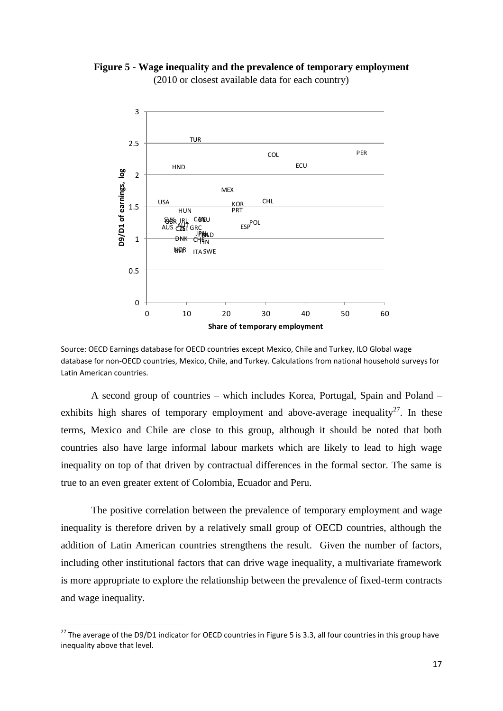**Figure 5 - Wage inequality and the prevalence of temporary employment**



(2010 or closest available data for each country)

Source: OECD Earnings database for OECD countries except Mexico, Chile and Turkey, ILO Global wage database for non-OECD countries, Mexico, Chile, and Turkey. Calculations from national household surveys for Latin American countries.

A second group of countries – which includes Korea, Portugal, Spain and Poland – exhibits high shares of temporary employment and above-average inequality<sup>27</sup>. In these terms, Mexico and Chile are close to this group, although it should be noted that both countries also have large informal labour markets which are likely to lead to high wage inequality on top of that driven by contractual differences in the formal sector. The same is true to an even greater extent of Colombia, Ecuador and Peru.

The positive correlation between the prevalence of temporary employment and wage inequality is therefore driven by a relatively small group of OECD countries, although the addition of Latin American countries strengthens the result. Given the number of factors, including other institutional factors that can drive wage inequality, a multivariate framework is more appropriate to explore the relationship between the prevalence of fixed-term contracts and wage inequality.

1

<sup>&</sup>lt;sup>27</sup> The average of the D9/D1 indicator for OECD countries in Figure 5 is 3.3, all four countries in this group have inequality above that level.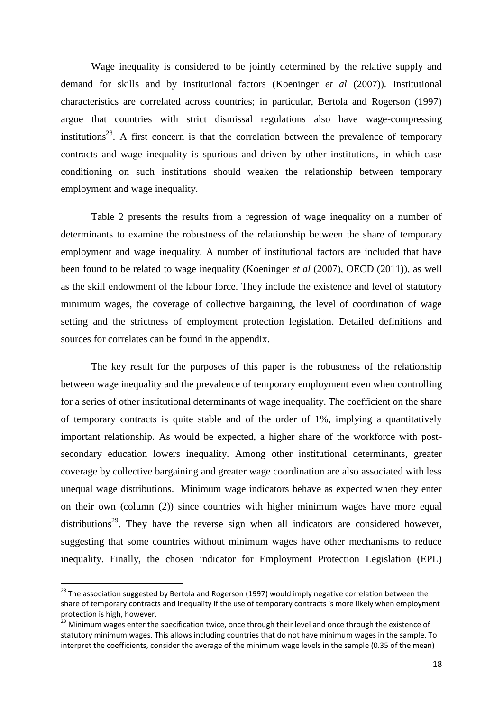Wage inequality is considered to be jointly determined by the relative supply and demand for skills and by institutional factors (Koeninger *et al* (2007)). Institutional characteristics are correlated across countries; in particular, Bertola and Rogerson (1997) argue that countries with strict dismissal regulations also have wage-compressing institutions<sup>28</sup>. A first concern is that the correlation between the prevalence of temporary contracts and wage inequality is spurious and driven by other institutions, in which case conditioning on such institutions should weaken the relationship between temporary employment and wage inequality.

Table 2 presents the results from a regression of wage inequality on a number of determinants to examine the robustness of the relationship between the share of temporary employment and wage inequality. A number of institutional factors are included that have been found to be related to wage inequality (Koeninger *et al* (2007), OECD (2011)), as well as the skill endowment of the labour force. They include the existence and level of statutory minimum wages, the coverage of collective bargaining, the level of coordination of wage setting and the strictness of employment protection legislation. Detailed definitions and sources for correlates can be found in the appendix.

The key result for the purposes of this paper is the robustness of the relationship between wage inequality and the prevalence of temporary employment even when controlling for a series of other institutional determinants of wage inequality. The coefficient on the share of temporary contracts is quite stable and of the order of 1%, implying a quantitatively important relationship. As would be expected, a higher share of the workforce with postsecondary education lowers inequality. Among other institutional determinants, greater coverage by collective bargaining and greater wage coordination are also associated with less unequal wage distributions. Minimum wage indicators behave as expected when they enter on their own (column (2)) since countries with higher minimum wages have more equal distributions<sup>29</sup>. They have the reverse sign when all indicators are considered however, suggesting that some countries without minimum wages have other mechanisms to reduce inequality. Finally, the chosen indicator for Employment Protection Legislation (EPL)

**.** 

<sup>&</sup>lt;sup>28</sup> The association suggested by Bertola and Rogerson (1997) would imply negative correlation between the share of temporary contracts and inequality if the use of temporary contracts is more likely when employment protection is high, however.

<sup>&</sup>lt;sup>29</sup> Minimum wages enter the specification twice, once through their level and once through the existence of statutory minimum wages. This allows including countries that do not have minimum wages in the sample. To interpret the coefficients, consider the average of the minimum wage levels in the sample (0.35 of the mean)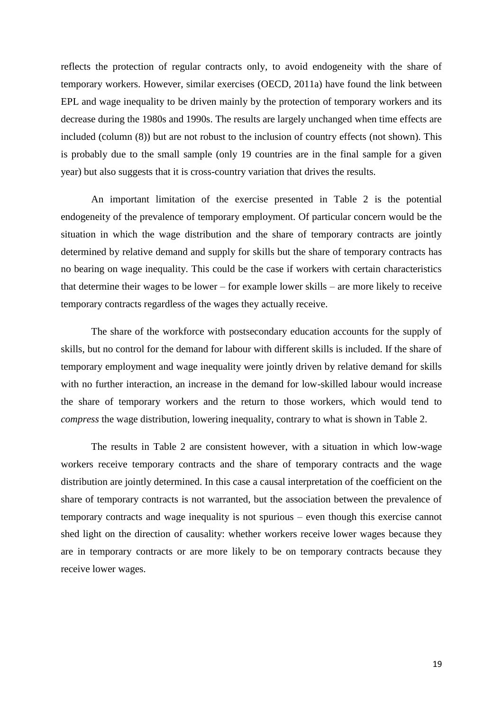reflects the protection of regular contracts only, to avoid endogeneity with the share of temporary workers. However, similar exercises (OECD, 2011a) have found the link between EPL and wage inequality to be driven mainly by the protection of temporary workers and its decrease during the 1980s and 1990s. The results are largely unchanged when time effects are included (column (8)) but are not robust to the inclusion of country effects (not shown). This is probably due to the small sample (only 19 countries are in the final sample for a given year) but also suggests that it is cross-country variation that drives the results.

An important limitation of the exercise presented in Table 2 is the potential endogeneity of the prevalence of temporary employment. Of particular concern would be the situation in which the wage distribution and the share of temporary contracts are jointly determined by relative demand and supply for skills but the share of temporary contracts has no bearing on wage inequality. This could be the case if workers with certain characteristics that determine their wages to be lower – for example lower skills – are more likely to receive temporary contracts regardless of the wages they actually receive.

The share of the workforce with postsecondary education accounts for the supply of skills, but no control for the demand for labour with different skills is included. If the share of temporary employment and wage inequality were jointly driven by relative demand for skills with no further interaction, an increase in the demand for low-skilled labour would increase the share of temporary workers and the return to those workers, which would tend to *compress* the wage distribution, lowering inequality, contrary to what is shown in Table 2.

The results in Table 2 are consistent however, with a situation in which low-wage workers receive temporary contracts and the share of temporary contracts and the wage distribution are jointly determined. In this case a causal interpretation of the coefficient on the share of temporary contracts is not warranted, but the association between the prevalence of temporary contracts and wage inequality is not spurious – even though this exercise cannot shed light on the direction of causality: whether workers receive lower wages because they are in temporary contracts or are more likely to be on temporary contracts because they receive lower wages.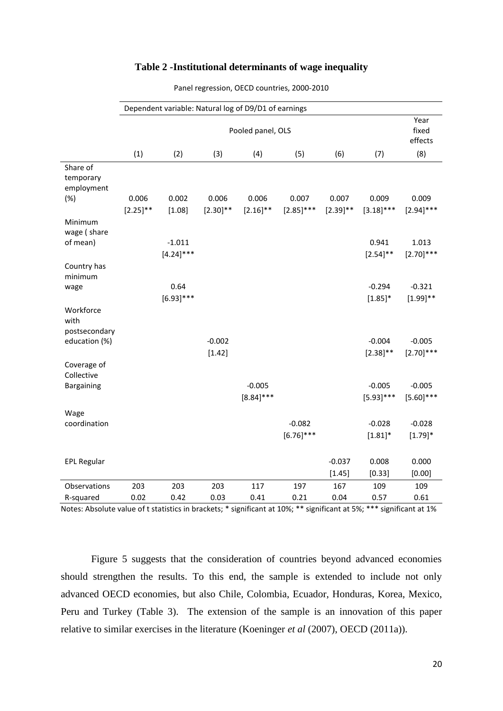#### **Table 2 -Institutional determinants of wage inequality**

|                                                     | Dependent variable: Natural log of D9/D1 of earnings |                          |                      |                          |                          |                      |                          |                          |
|-----------------------------------------------------|------------------------------------------------------|--------------------------|----------------------|--------------------------|--------------------------|----------------------|--------------------------|--------------------------|
|                                                     | Pooled panel, OLS                                    |                          |                      |                          |                          |                      | Year<br>fixed<br>effects |                          |
|                                                     | (1)                                                  | (2)                      | (3)                  | (4)                      | (5)                      | (6)                  | (7)                      | (8)                      |
| Share of<br>temporary<br>employment<br>(%)          | 0.006<br>$[2.25]$ **                                 | 0.002<br>[1.08]          | 0.006<br>$[2.30]$ ** | 0.006<br>$[2.16]$ **     | 0.007<br>$[2.85]$ ***    | 0.007<br>$[2.39]$ ** | 0.009<br>$[3.18]$ ***    | 0.009<br>$[2.94]$ ***    |
| Minimum<br>wage (share                              |                                                      |                          |                      |                          |                          |                      |                          |                          |
| of mean)                                            |                                                      | $-1.011$<br>$[4.24]$ *** |                      |                          |                          |                      | 0.941<br>$[2.54]$ **     | 1.013<br>$[2.70]$ ***    |
| Country has<br>minimum<br>wage                      |                                                      | 0.64<br>$[6.93]***$      |                      |                          |                          |                      | $-0.294$<br>$[1.85]$ *   | $-0.321$<br>$[1.99]$ **  |
| Workforce<br>with<br>postsecondary<br>education (%) |                                                      |                          | $-0.002$             |                          |                          |                      | $-0.004$                 | $-0.005$                 |
| Coverage of                                         |                                                      |                          | [1.42]               |                          |                          |                      | $[2.38]$ **              | $[2.70]$ ***             |
| Collective<br>Bargaining                            |                                                      |                          |                      | $-0.005$<br>$[8.84]$ *** |                          |                      | $-0.005$<br>$[5.93]$ *** | $-0.005$<br>$[5.60]$ *** |
| Wage<br>coordination                                |                                                      |                          |                      |                          | $-0.082$<br>$[6.76]$ *** |                      | $-0.028$<br>$[1.81]$ *   | $-0.028$<br>$[1.79]$ *   |
| <b>EPL Regular</b>                                  |                                                      |                          |                      |                          |                          | $-0.037$<br>[1.45]   | 0.008<br>[0.33]          | 0.000<br>[0.00]          |
| Observations<br>R-squared                           | 203<br>0.02                                          | 203<br>0.42              | 203<br>0.03          | 117<br>0.41              | 197<br>0.21              | 167<br>0.04          | 109<br>0.57              | 109<br>0.61              |

Panel regression, OECD countries, 2000-2010

Notes: Absolute value of t statistics in brackets; \* significant at 10%; \*\* significant at 5%; \*\*\* significant at 1%

Figure 5 suggests that the consideration of countries beyond advanced economies should strengthen the results. To this end, the sample is extended to include not only advanced OECD economies, but also Chile, Colombia, Ecuador, Honduras, Korea, Mexico, Peru and Turkey (Table 3). The extension of the sample is an innovation of this paper relative to similar exercises in the literature (Koeninger *et al* (2007), OECD (2011a)).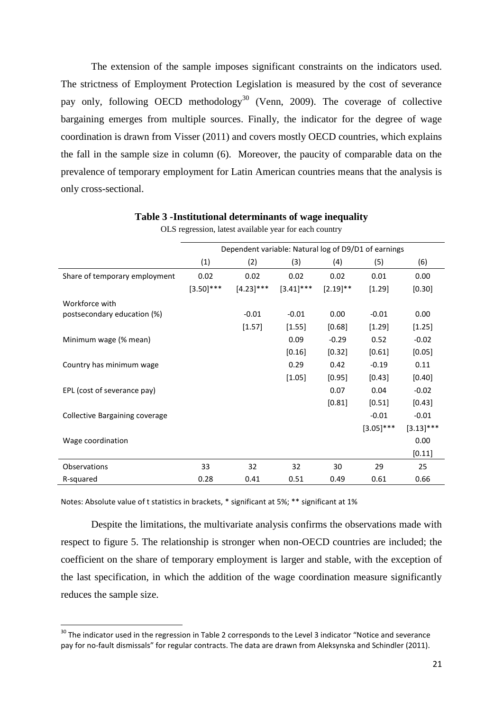The extension of the sample imposes significant constraints on the indicators used. The strictness of Employment Protection Legislation is measured by the cost of severance pay only, following OECD methodology<sup>30</sup> (Venn, 2009). The coverage of collective bargaining emerges from multiple sources. Finally, the indicator for the degree of wage coordination is drawn from Visser (2011) and covers mostly OECD countries, which explains the fall in the sample size in column (6). Moreover, the paucity of comparable data on the prevalence of temporary employment for Latin American countries means that the analysis is only cross-sectional.

|                                       | Dependent variable: Natural log of D9/D1 of earnings |              |              |             |              |              |
|---------------------------------------|------------------------------------------------------|--------------|--------------|-------------|--------------|--------------|
|                                       | (1)                                                  | (2)          | (3)          | (4)         | (5)          | (6)          |
| Share of temporary employment         | 0.02                                                 | 0.02         | 0.02         | 0.02        | 0.01         | 0.00         |
|                                       | $[3.50]$ ***                                         | $[4.23]$ *** | $[3.41]$ *** | $[2.19]$ ** | [1.29]       | [0.30]       |
| Workforce with                        |                                                      |              |              |             |              |              |
| postsecondary education (%)           |                                                      | $-0.01$      | $-0.01$      | 0.00        | $-0.01$      | 0.00         |
|                                       |                                                      | [1.57]       | [1.55]       | [0.68]      | [1.29]       | [1.25]       |
| Minimum wage (% mean)                 |                                                      |              | 0.09         | $-0.29$     | 0.52         | $-0.02$      |
|                                       |                                                      |              | [0.16]       | [0.32]      | [0.61]       | [0.05]       |
| Country has minimum wage              |                                                      |              | 0.29         | 0.42        | $-0.19$      | 0.11         |
|                                       |                                                      |              | [1.05]       | [0.95]      | [0.43]       | [0.40]       |
| EPL (cost of severance pay)           |                                                      |              |              | 0.07        | 0.04         | $-0.02$      |
|                                       |                                                      |              |              | [0.81]      | [0.51]       | [0.43]       |
| <b>Collective Bargaining coverage</b> |                                                      |              |              |             | $-0.01$      | $-0.01$      |
|                                       |                                                      |              |              |             | $[3.05]$ *** | $[3.13]$ *** |
| Wage coordination                     |                                                      |              |              |             |              | 0.00         |
|                                       |                                                      |              |              |             |              | [0.11]       |
| Observations                          | 33                                                   | 32           | 32           | 30          | 29           | 25           |
| R-squared                             | 0.28                                                 | 0.41         | 0.51         | 0.49        | 0.61         | 0.66         |

#### **Table 3 -Institutional determinants of wage inequality** OLS regression, latest available year for each country

Notes: Absolute value of t statistics in brackets, \* significant at 5%; \*\* significant at 1%

1

Despite the limitations, the multivariate analysis confirms the observations made with respect to figure 5. The relationship is stronger when non-OECD countries are included; the coefficient on the share of temporary employment is larger and stable, with the exception of the last specification, in which the addition of the wage coordination measure significantly reduces the sample size.

 $30$  The indicator used in the regression in Table 2 corresponds to the Level 3 indicator "Notice and severance pay for no-fault dismissals" for regular contracts. The data are drawn from Aleksynska and Schindler (2011).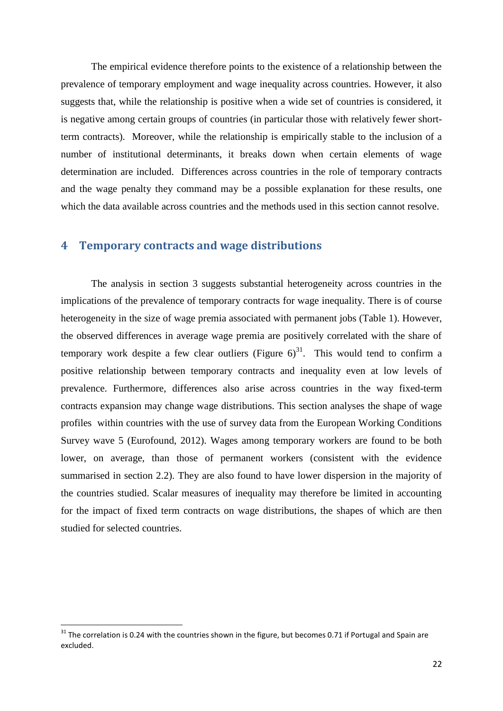The empirical evidence therefore points to the existence of a relationship between the prevalence of temporary employment and wage inequality across countries. However, it also suggests that, while the relationship is positive when a wide set of countries is considered, it is negative among certain groups of countries (in particular those with relatively fewer shortterm contracts). Moreover, while the relationship is empirically stable to the inclusion of a number of institutional determinants, it breaks down when certain elements of wage determination are included. Differences across countries in the role of temporary contracts and the wage penalty they command may be a possible explanation for these results, one which the data available across countries and the methods used in this section cannot resolve.

## **4 Temporary contracts and wage distributions**

The analysis in section 3 suggests substantial heterogeneity across countries in the implications of the prevalence of temporary contracts for wage inequality. There is of course heterogeneity in the size of wage premia associated with permanent jobs (Table 1). However, the observed differences in average wage premia are positively correlated with the share of temporary work despite a few clear outliers (Figure  $6)^{31}$ . This would tend to confirm a positive relationship between temporary contracts and inequality even at low levels of prevalence. Furthermore, differences also arise across countries in the way fixed-term contracts expansion may change wage distributions. This section analyses the shape of wage profiles within countries with the use of survey data from the European Working Conditions Survey wave 5 (Eurofound, 2012). Wages among temporary workers are found to be both lower, on average, than those of permanent workers (consistent with the evidence summarised in section 2.2). They are also found to have lower dispersion in the majority of the countries studied. Scalar measures of inequality may therefore be limited in accounting for the impact of fixed term contracts on wage distributions, the shapes of which are then studied for selected countries.

1

 $31$  The correlation is 0.24 with the countries shown in the figure, but becomes 0.71 if Portugal and Spain are excluded.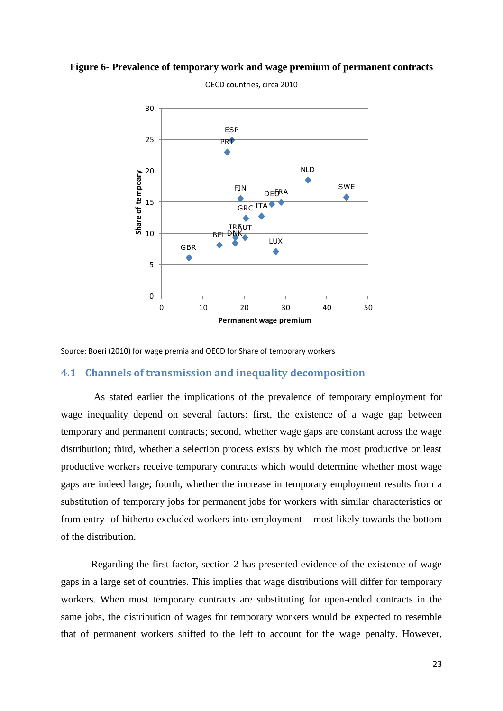



OECD countries, circa 2010

Source: Boeri (2010) for wage premia and OECD for Share of temporary workers

#### **4.1 Channels of transmission and inequality decomposition**

As stated earlier the implications of the prevalence of temporary employment for wage inequality depend on several factors: first, the existence of a wage gap between temporary and permanent contracts; second, whether wage gaps are constant across the wage distribution; third, whether a selection process exists by which the most productive or least productive workers receive temporary contracts which would determine whether most wage gaps are indeed large; fourth, whether the increase in temporary employment results from a substitution of temporary jobs for permanent jobs for workers with similar characteristics or from entry of hitherto excluded workers into employment – most likely towards the bottom of the distribution.

Regarding the first factor, section 2 has presented evidence of the existence of wage gaps in a large set of countries. This implies that wage distributions will differ for temporary workers. When most temporary contracts are substituting for open-ended contracts in the same jobs, the distribution of wages for temporary workers would be expected to resemble that of permanent workers shifted to the left to account for the wage penalty. However,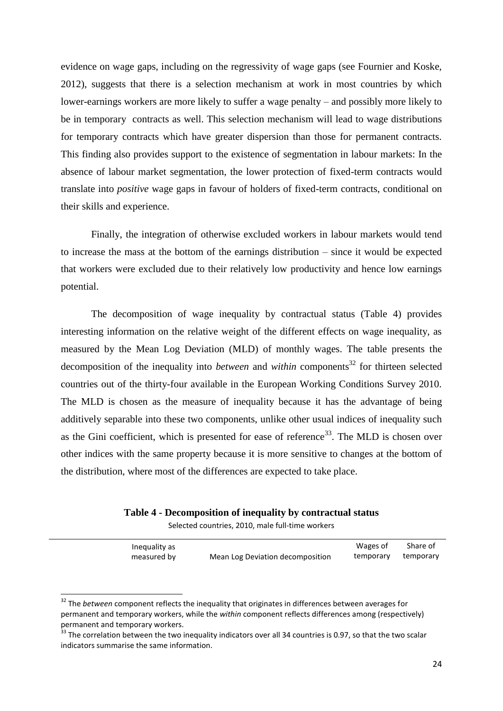evidence on wage gaps, including on the regressivity of wage gaps (see Fournier and Koske, 2012), suggests that there is a selection mechanism at work in most countries by which lower-earnings workers are more likely to suffer a wage penalty – and possibly more likely to be in temporary contracts as well. This selection mechanism will lead to wage distributions for temporary contracts which have greater dispersion than those for permanent contracts. This finding also provides support to the existence of segmentation in labour markets: In the absence of labour market segmentation, the lower protection of fixed-term contracts would translate into *positive* wage gaps in favour of holders of fixed-term contracts, conditional on their skills and experience.

Finally, the integration of otherwise excluded workers in labour markets would tend to increase the mass at the bottom of the earnings distribution – since it would be expected that workers were excluded due to their relatively low productivity and hence low earnings potential.

The decomposition of wage inequality by contractual status (Table 4) provides interesting information on the relative weight of the different effects on wage inequality, as measured by the Mean Log Deviation (MLD) of monthly wages. The table presents the decomposition of the inequality into *between* and *within* components<sup>32</sup> for thirteen selected countries out of the thirty-four available in the European Working Conditions Survey 2010. The MLD is chosen as the measure of inequality because it has the advantage of being additively separable into these two components, unlike other usual indices of inequality such as the Gini coefficient, which is presented for ease of reference<sup>33</sup>. The MLD is chosen over other indices with the same property because it is more sensitive to changes at the bottom of the distribution, where most of the differences are expected to take place.

**Table 4 - Decomposition of inequality by contractual status**

Selected countries, 2010, male full-time workers

| Inequality as |                                  | Wages of  | Share of  |
|---------------|----------------------------------|-----------|-----------|
| measured by   | Mean Log Deviation decomposition | temporary | temporary |

<sup>&</sup>lt;sup>32</sup> The *between* component reflects the inequality that originates in differences between averages for permanent and temporary workers, while the *within* component reflects differences among (respectively) permanent and temporary workers.

 $\overline{\phantom{a}}$ 

<sup>&</sup>lt;sup>33</sup> The correlation between the two inequality indicators over all 34 countries is 0.97, so that the two scalar indicators summarise the same information.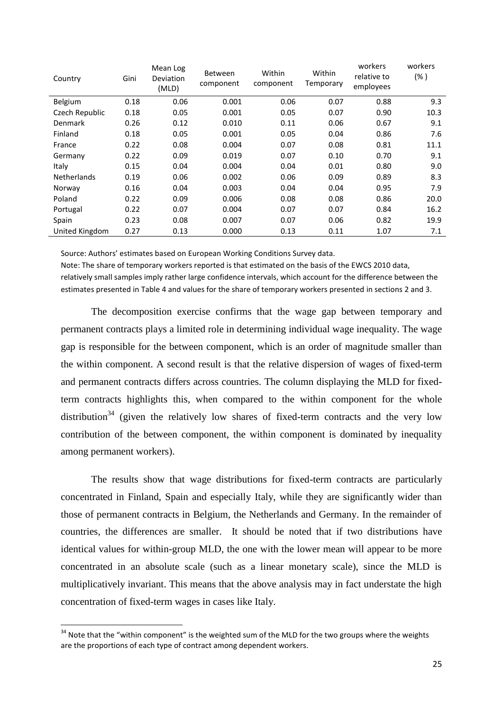| Country            | Gini | Mean Log<br><b>Deviation</b><br>(MLD) | Between<br>component | Within<br>component | Within<br>Temporary | workers<br>relative to<br>employees | workers<br>(% ) |
|--------------------|------|---------------------------------------|----------------------|---------------------|---------------------|-------------------------------------|-----------------|
| Belgium            | 0.18 | 0.06                                  | 0.001                | 0.06                | 0.07                | 0.88                                | 9.3             |
| Czech Republic     | 0.18 | 0.05                                  | 0.001                | 0.05                | 0.07                | 0.90                                | 10.3            |
| Denmark            | 0.26 | 0.12                                  | 0.010                | 0.11                | 0.06                | 0.67                                | 9.1             |
| Finland            | 0.18 | 0.05                                  | 0.001                | 0.05                | 0.04                | 0.86                                | 7.6             |
| France             | 0.22 | 0.08                                  | 0.004                | 0.07                | 0.08                | 0.81                                | 11.1            |
| Germany            | 0.22 | 0.09                                  | 0.019                | 0.07                | 0.10                | 0.70                                | 9.1             |
| Italy              | 0.15 | 0.04                                  | 0.004                | 0.04                | 0.01                | 0.80                                | 9.0             |
| <b>Netherlands</b> | 0.19 | 0.06                                  | 0.002                | 0.06                | 0.09                | 0.89                                | 8.3             |
| Norway             | 0.16 | 0.04                                  | 0.003                | 0.04                | 0.04                | 0.95                                | 7.9             |
| Poland             | 0.22 | 0.09                                  | 0.006                | 0.08                | 0.08                | 0.86                                | 20.0            |
| Portugal           | 0.22 | 0.07                                  | 0.004                | 0.07                | 0.07                | 0.84                                | 16.2            |
| Spain              | 0.23 | 0.08                                  | 0.007                | 0.07                | 0.06                | 0.82                                | 19.9            |
| United Kingdom     | 0.27 | 0.13                                  | 0.000                | 0.13                | 0.11                | 1.07                                | 7.1             |

Source: Authors' estimates based on European Working Conditions Survey data.

Note: The share of temporary workers reported is that estimated on the basis of the EWCS 2010 data, relatively small samples imply rather large confidence intervals, which account for the difference between the estimates presented in Table 4 and values for the share of temporary workers presented in sections 2 and 3.

The decomposition exercise confirms that the wage gap between temporary and permanent contracts plays a limited role in determining individual wage inequality. The wage gap is responsible for the between component, which is an order of magnitude smaller than the within component. A second result is that the relative dispersion of wages of fixed-term and permanent contracts differs across countries. The column displaying the MLD for fixedterm contracts highlights this, when compared to the within component for the whole distribution<sup>34</sup> (given the relatively low shares of fixed-term contracts and the very low contribution of the between component, the within component is dominated by inequality among permanent workers).

The results show that wage distributions for fixed-term contracts are particularly concentrated in Finland, Spain and especially Italy, while they are significantly wider than those of permanent contracts in Belgium, the Netherlands and Germany. In the remainder of countries, the differences are smaller. It should be noted that if two distributions have identical values for within-group MLD, the one with the lower mean will appear to be more concentrated in an absolute scale (such as a linear monetary scale), since the MLD is multiplicatively invariant. This means that the above analysis may in fact understate the high concentration of fixed-term wages in cases like Italy.

1

 $34$  Note that the "within component" is the weighted sum of the MLD for the two groups where the weights are the proportions of each type of contract among dependent workers.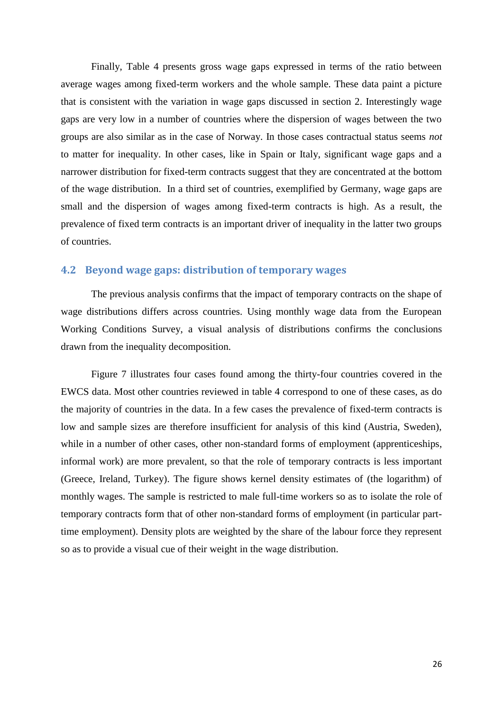Finally, Table 4 presents gross wage gaps expressed in terms of the ratio between average wages among fixed-term workers and the whole sample. These data paint a picture that is consistent with the variation in wage gaps discussed in section 2. Interestingly wage gaps are very low in a number of countries where the dispersion of wages between the two groups are also similar as in the case of Norway. In those cases contractual status seems *not*  to matter for inequality. In other cases, like in Spain or Italy, significant wage gaps and a narrower distribution for fixed-term contracts suggest that they are concentrated at the bottom of the wage distribution. In a third set of countries, exemplified by Germany, wage gaps are small and the dispersion of wages among fixed-term contracts is high. As a result, the prevalence of fixed term contracts is an important driver of inequality in the latter two groups of countries.

### **4.2 Beyond wage gaps: distribution of temporary wages**

The previous analysis confirms that the impact of temporary contracts on the shape of wage distributions differs across countries. Using monthly wage data from the European Working Conditions Survey, a visual analysis of distributions confirms the conclusions drawn from the inequality decomposition.

Figure 7 illustrates four cases found among the thirty-four countries covered in the EWCS data. Most other countries reviewed in table 4 correspond to one of these cases, as do the majority of countries in the data. In a few cases the prevalence of fixed-term contracts is low and sample sizes are therefore insufficient for analysis of this kind (Austria, Sweden), while in a number of other cases, other non-standard forms of employment (apprenticeships, informal work) are more prevalent, so that the role of temporary contracts is less important (Greece, Ireland, Turkey). The figure shows kernel density estimates of (the logarithm) of monthly wages. The sample is restricted to male full-time workers so as to isolate the role of temporary contracts form that of other non-standard forms of employment (in particular parttime employment). Density plots are weighted by the share of the labour force they represent so as to provide a visual cue of their weight in the wage distribution.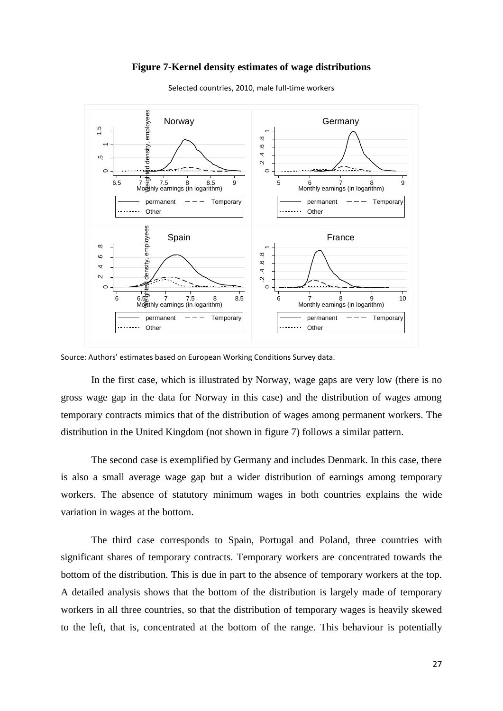#### **Figure 7-Kernel density estimates of wage distributions**



Selected countries, 2010, male full-time workers

Source: Authors' estimates based on European Working Conditions Survey data.

In the first case, which is illustrated by Norway, wage gaps are very low (there is no gross wage gap in the data for Norway in this case) and the distribution of wages among temporary contracts mimics that of the distribution of wages among permanent workers. The distribution in the United Kingdom (not shown in figure 7) follows a similar pattern.

The second case is exemplified by Germany and includes Denmark. In this case, there is also a small average wage gap but a wider distribution of earnings among temporary workers. The absence of statutory minimum wages in both countries explains the wide variation in wages at the bottom.

The third case corresponds to Spain, Portugal and Poland, three countries with significant shares of temporary contracts. Temporary workers are concentrated towards the bottom of the distribution. This is due in part to the absence of temporary workers at the top. A detailed analysis shows that the bottom of the distribution is largely made of temporary workers in all three countries, so that the distribution of temporary wages is heavily skewed to the left, that is, concentrated at the bottom of the range. This behaviour is potentially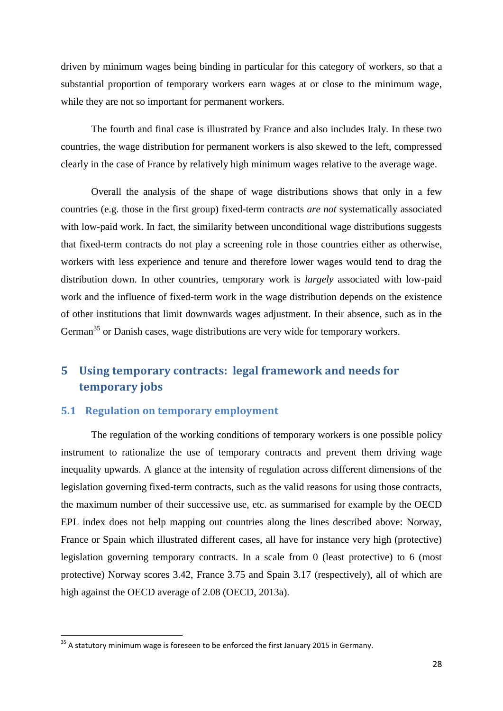driven by minimum wages being binding in particular for this category of workers, so that a substantial proportion of temporary workers earn wages at or close to the minimum wage, while they are not so important for permanent workers.

The fourth and final case is illustrated by France and also includes Italy. In these two countries, the wage distribution for permanent workers is also skewed to the left, compressed clearly in the case of France by relatively high minimum wages relative to the average wage.

Overall the analysis of the shape of wage distributions shows that only in a few countries (e.g. those in the first group) fixed-term contracts *are not* systematically associated with low-paid work. In fact, the similarity between unconditional wage distributions suggests that fixed-term contracts do not play a screening role in those countries either as otherwise, workers with less experience and tenure and therefore lower wages would tend to drag the distribution down. In other countries, temporary work is *largely* associated with low-paid work and the influence of fixed-term work in the wage distribution depends on the existence of other institutions that limit downwards wages adjustment. In their absence, such as in the German<sup>35</sup> or Danish cases, wage distributions are very wide for temporary workers.

## **5 Using temporary contracts: legal framework and needs for temporary jobs**

#### **5.1 Regulation on temporary employment**

**.** 

The regulation of the working conditions of temporary workers is one possible policy instrument to rationalize the use of temporary contracts and prevent them driving wage inequality upwards. A glance at the intensity of regulation across different dimensions of the legislation governing fixed-term contracts, such as the valid reasons for using those contracts, the maximum number of their successive use, etc. as summarised for example by the OECD EPL index does not help mapping out countries along the lines described above: Norway, France or Spain which illustrated different cases, all have for instance very high (protective) legislation governing temporary contracts. In a scale from 0 (least protective) to 6 (most protective) Norway scores 3.42, France 3.75 and Spain 3.17 (respectively), all of which are high against the OECD average of 2.08 (OECD, 2013a).

 $35$  A statutory minimum wage is foreseen to be enforced the first January 2015 in Germany.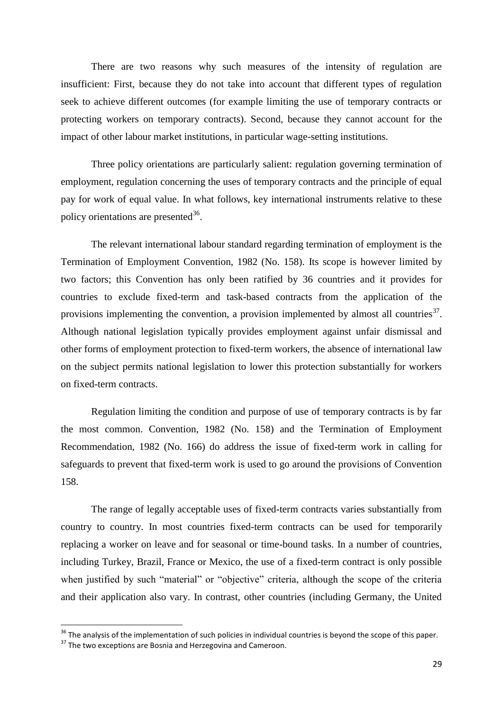There are two reasons why such measures of the intensity of regulation are insufficient: First, because they do not take into account that different types of regulation seek to achieve different outcomes (for example limiting the use of temporary contracts or protecting workers on temporary contracts). Second, because they cannot account for the impact of other labour market institutions, in particular wage-setting institutions.

Three policy orientations are particularly salient: regulation governing termination of employment, regulation concerning the uses of temporary contracts and the principle of equal pay for work of equal value. In what follows, key international instruments relative to these policy orientations are presented<sup>36</sup>.

The relevant international labour standard regarding termination of employment is the Termination of Employment Convention, 1982 (No. 158). Its scope is however limited by two factors; this Convention has only been ratified by 36 countries and it provides for countries to exclude fixed-term and task-based contracts from the application of the provisions implementing the convention, a provision implemented by almost all countries<sup>37</sup>. Although national legislation typically provides employment against unfair dismissal and other forms of employment protection to fixed-term workers, the absence of international law on the subject permits national legislation to lower this protection substantially for workers on fixed-term contracts.

Regulation limiting the condition and purpose of use of temporary contracts is by far the most common. Convention, 1982 (No. 158) and the Termination of Employment Recommendation, 1982 (No. 166) do address the issue of fixed-term work in calling for safeguards to prevent that fixed-term work is used to go around the provisions of Convention 158.

The range of legally acceptable uses of fixed-term contracts varies substantially from country to country. In most countries fixed-term contracts can be used for temporarily replacing a worker on leave and for seasonal or time-bound tasks. In a number of countries, including Turkey, Brazil, France or Mexico, the use of a fixed-term contract is only possible when justified by such "material" or "objective" criteria, although the scope of the criteria and their application also vary. In contrast, other countries (including Germany, the United

1

 $36$  The analysis of the implementation of such policies in individual countries is beyond the scope of this paper.

 $37$  The two exceptions are Bosnia and Herzegovina and Cameroon.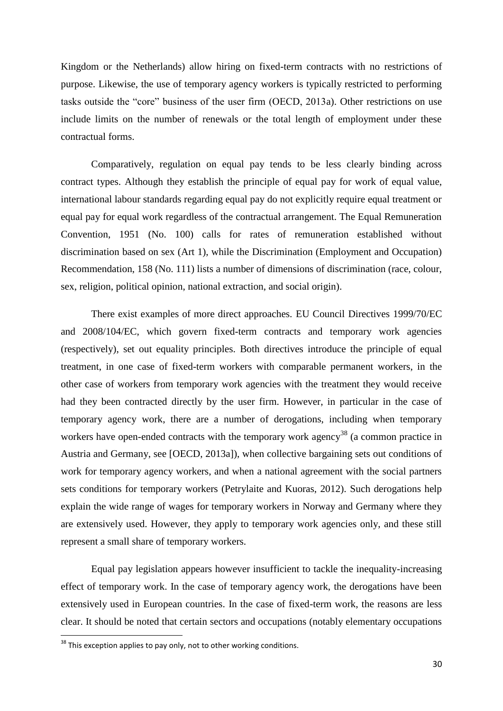Kingdom or the Netherlands) allow hiring on fixed-term contracts with no restrictions of purpose. Likewise, the use of temporary agency workers is typically restricted to performing tasks outside the "core" business of the user firm (OECD, 2013a). Other restrictions on use include limits on the number of renewals or the total length of employment under these contractual forms.

Comparatively, regulation on equal pay tends to be less clearly binding across contract types. Although they establish the principle of equal pay for work of equal value, international labour standards regarding equal pay do not explicitly require equal treatment or equal pay for equal work regardless of the contractual arrangement. The Equal Remuneration Convention, 1951 (No. 100) calls for rates of remuneration established without discrimination based on sex (Art 1), while the Discrimination (Employment and Occupation) Recommendation, 158 (No. 111) lists a number of dimensions of discrimination (race, colour, sex, religion, political opinion, national extraction, and social origin).

There exist examples of more direct approaches. EU Council Directives 1999/70/EC and 2008/104/EC, which govern fixed-term contracts and temporary work agencies (respectively), set out equality principles. Both directives introduce the principle of equal treatment, in one case of fixed-term workers with comparable permanent workers, in the other case of workers from temporary work agencies with the treatment they would receive had they been contracted directly by the user firm. However, in particular in the case of temporary agency work, there are a number of derogations, including when temporary workers have open-ended contracts with the temporary work agency<sup>38</sup> (a common practice in Austria and Germany, see [OECD, 2013a]), when collective bargaining sets out conditions of work for temporary agency workers, and when a national agreement with the social partners sets conditions for temporary workers (Petrylaite and Kuoras, 2012). Such derogations help explain the wide range of wages for temporary workers in Norway and Germany where they are extensively used. However, they apply to temporary work agencies only, and these still represent a small share of temporary workers.

Equal pay legislation appears however insufficient to tackle the inequality-increasing effect of temporary work. In the case of temporary agency work, the derogations have been extensively used in European countries. In the case of fixed-term work, the reasons are less clear. It should be noted that certain sectors and occupations (notably elementary occupations

**.** 

 $38$  This exception applies to pay only, not to other working conditions.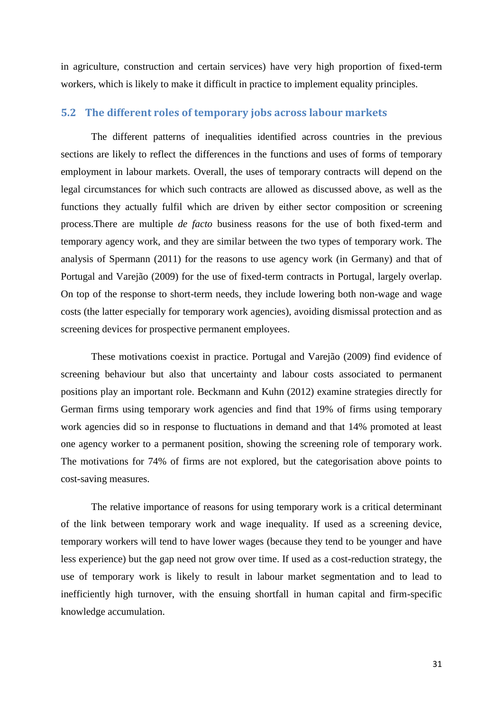in agriculture, construction and certain services) have very high proportion of fixed-term workers, which is likely to make it difficult in practice to implement equality principles.

## **5.2 The different roles of temporary jobs across labour markets**

The different patterns of inequalities identified across countries in the previous sections are likely to reflect the differences in the functions and uses of forms of temporary employment in labour markets. Overall, the uses of temporary contracts will depend on the legal circumstances for which such contracts are allowed as discussed above, as well as the functions they actually fulfil which are driven by either sector composition or screening process.There are multiple *de facto* business reasons for the use of both fixed-term and temporary agency work, and they are similar between the two types of temporary work. The analysis of Spermann (2011) for the reasons to use agency work (in Germany) and that of Portugal and Varejão (2009) for the use of fixed-term contracts in Portugal, largely overlap. On top of the response to short-term needs, they include lowering both non-wage and wage costs (the latter especially for temporary work agencies), avoiding dismissal protection and as screening devices for prospective permanent employees.

These motivations coexist in practice. Portugal and Varejão (2009) find evidence of screening behaviour but also that uncertainty and labour costs associated to permanent positions play an important role. Beckmann and Kuhn (2012) examine strategies directly for German firms using temporary work agencies and find that 19% of firms using temporary work agencies did so in response to fluctuations in demand and that 14% promoted at least one agency worker to a permanent position, showing the screening role of temporary work. The motivations for 74% of firms are not explored, but the categorisation above points to cost-saving measures.

The relative importance of reasons for using temporary work is a critical determinant of the link between temporary work and wage inequality. If used as a screening device, temporary workers will tend to have lower wages (because they tend to be younger and have less experience) but the gap need not grow over time. If used as a cost-reduction strategy, the use of temporary work is likely to result in labour market segmentation and to lead to inefficiently high turnover, with the ensuing shortfall in human capital and firm-specific knowledge accumulation.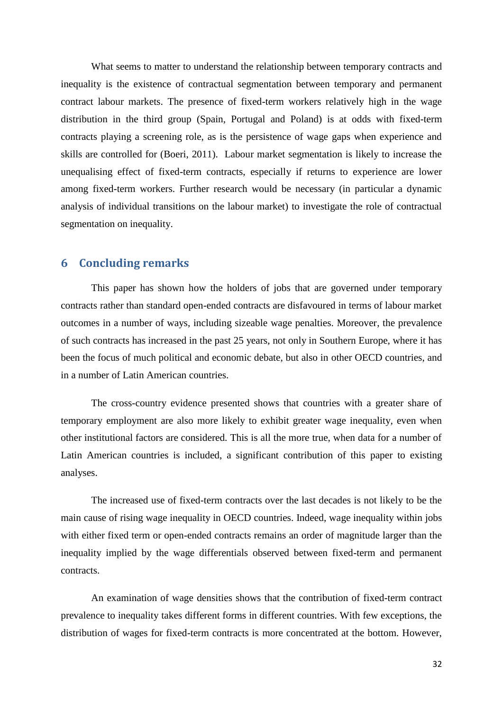What seems to matter to understand the relationship between temporary contracts and inequality is the existence of contractual segmentation between temporary and permanent contract labour markets. The presence of fixed-term workers relatively high in the wage distribution in the third group (Spain, Portugal and Poland) is at odds with fixed-term contracts playing a screening role, as is the persistence of wage gaps when experience and skills are controlled for (Boeri, 2011). Labour market segmentation is likely to increase the unequalising effect of fixed-term contracts, especially if returns to experience are lower among fixed-term workers. Further research would be necessary (in particular a dynamic analysis of individual transitions on the labour market) to investigate the role of contractual segmentation on inequality.

## **6 Concluding remarks**

This paper has shown how the holders of jobs that are governed under temporary contracts rather than standard open-ended contracts are disfavoured in terms of labour market outcomes in a number of ways, including sizeable wage penalties. Moreover, the prevalence of such contracts has increased in the past 25 years, not only in Southern Europe, where it has been the focus of much political and economic debate, but also in other OECD countries, and in a number of Latin American countries.

The cross-country evidence presented shows that countries with a greater share of temporary employment are also more likely to exhibit greater wage inequality, even when other institutional factors are considered. This is all the more true, when data for a number of Latin American countries is included, a significant contribution of this paper to existing analyses.

The increased use of fixed-term contracts over the last decades is not likely to be the main cause of rising wage inequality in OECD countries. Indeed, wage inequality within jobs with either fixed term or open-ended contracts remains an order of magnitude larger than the inequality implied by the wage differentials observed between fixed-term and permanent contracts.

An examination of wage densities shows that the contribution of fixed-term contract prevalence to inequality takes different forms in different countries. With few exceptions, the distribution of wages for fixed-term contracts is more concentrated at the bottom. However,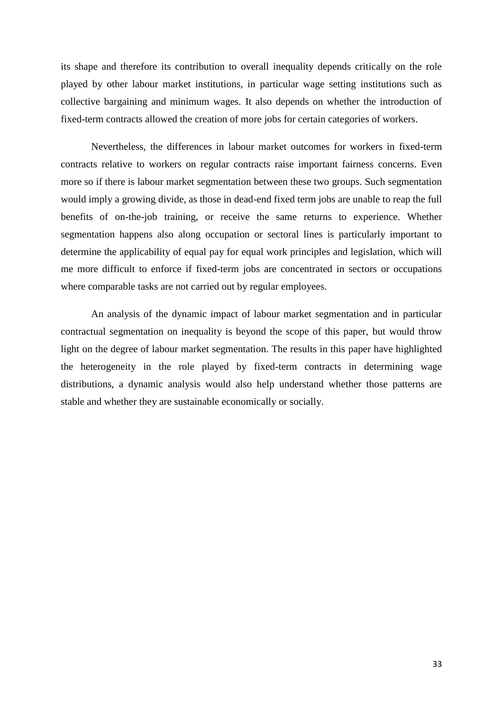its shape and therefore its contribution to overall inequality depends critically on the role played by other labour market institutions, in particular wage setting institutions such as collective bargaining and minimum wages. It also depends on whether the introduction of fixed-term contracts allowed the creation of more jobs for certain categories of workers.

Nevertheless, the differences in labour market outcomes for workers in fixed-term contracts relative to workers on regular contracts raise important fairness concerns. Even more so if there is labour market segmentation between these two groups. Such segmentation would imply a growing divide, as those in dead-end fixed term jobs are unable to reap the full benefits of on-the-job training, or receive the same returns to experience. Whether segmentation happens also along occupation or sectoral lines is particularly important to determine the applicability of equal pay for equal work principles and legislation, which will me more difficult to enforce if fixed-term jobs are concentrated in sectors or occupations where comparable tasks are not carried out by regular employees.

An analysis of the dynamic impact of labour market segmentation and in particular contractual segmentation on inequality is beyond the scope of this paper, but would throw light on the degree of labour market segmentation. The results in this paper have highlighted the heterogeneity in the role played by fixed-term contracts in determining wage distributions, a dynamic analysis would also help understand whether those patterns are stable and whether they are sustainable economically or socially.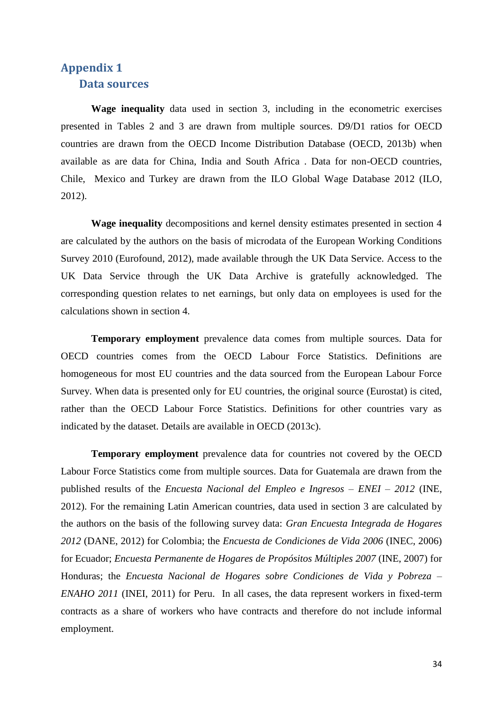## **Appendix 1 Data sources**

**Wage inequality** data used in section 3, including in the econometric exercises presented in Tables 2 and 3 are drawn from multiple sources. D9/D1 ratios for OECD countries are drawn from the OECD Income Distribution Database (OECD, 2013b) when available as are data for China, India and South Africa . Data for non-OECD countries, Chile, Mexico and Turkey are drawn from the ILO Global Wage Database 2012 (ILO, 2012).

**Wage inequality** decompositions and kernel density estimates presented in section 4 are calculated by the authors on the basis of microdata of the European Working Conditions Survey 2010 (Eurofound, 2012), made available through the UK Data Service. Access to the UK Data Service through the UK Data Archive is gratefully acknowledged. The corresponding question relates to net earnings, but only data on employees is used for the calculations shown in section 4.

**Temporary employment** prevalence data comes from multiple sources. Data for OECD countries comes from the OECD Labour Force Statistics. Definitions are homogeneous for most EU countries and the data sourced from the European Labour Force Survey. When data is presented only for EU countries, the original source (Eurostat) is cited, rather than the OECD Labour Force Statistics. Definitions for other countries vary as indicated by the dataset. Details are available in OECD (2013c).

**Temporary employment** prevalence data for countries not covered by the OECD Labour Force Statistics come from multiple sources. Data for Guatemala are drawn from the published results of the *Encuesta Nacional del Empleo e Ingresos – ENEI – 2012* (INE, 2012). For the remaining Latin American countries, data used in section 3 are calculated by the authors on the basis of the following survey data: *Gran Encuesta Integrada de Hogares 2012* (DANE, 2012) for Colombia; the *Encuesta de Condiciones de Vida 2006* (INEC, 2006) for Ecuador; *Encuesta Permanente de Hogares de Propósitos Múltiples 2007* (INE, 2007) for Honduras; the *Encuesta Nacional de Hogares sobre Condiciones de Vida y Pobreza – ENAHO 2011* (INEI, 2011) for Peru. In all cases, the data represent workers in fixed-term contracts as a share of workers who have contracts and therefore do not include informal employment.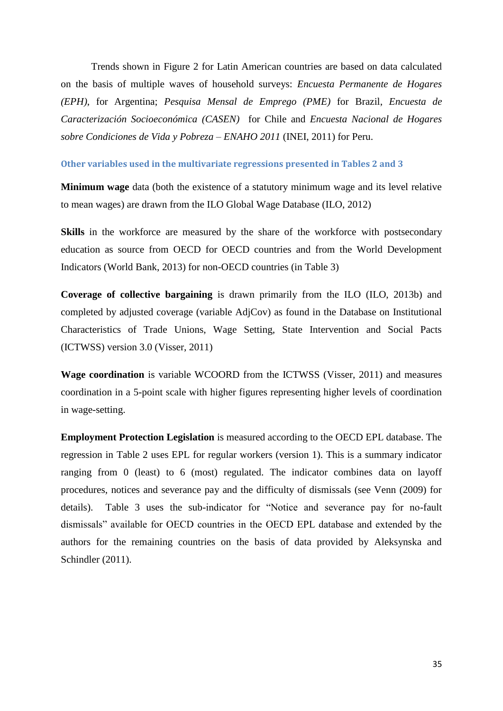Trends shown in Figure 2 for Latin American countries are based on data calculated on the basis of multiple waves of household surveys: *Encuesta Permanente de Hogares (EPH)*, for Argentina; *Pesquisa Mensal de Emprego (PME)* for Brazil, *Encuesta de Caracterización Socioeconómica (CASEN)* for Chile and *Encuesta Nacional de Hogares sobre Condiciones de Vida y Pobreza – ENAHO 2011* (INEI, 2011) for Peru.

#### **Other variables used in the multivariate regressions presented in Tables 2 and 3**

**Minimum wage** data (both the existence of a statutory minimum wage and its level relative to mean wages) are drawn from the ILO Global Wage Database (ILO, 2012)

**Skills** in the workforce are measured by the share of the workforce with postsecondary education as source from OECD for OECD countries and from the World Development Indicators (World Bank, 2013) for non-OECD countries (in Table 3)

**Coverage of collective bargaining** is drawn primarily from the ILO (ILO, 2013b) and completed by adjusted coverage (variable AdjCov) as found in the Database on Institutional Characteristics of Trade Unions, Wage Setting, State Intervention and Social Pacts (ICTWSS) version 3.0 (Visser, 2011)

**Wage coordination** is variable WCOORD from the ICTWSS (Visser, 2011) and measures coordination in a 5-point scale with higher figures representing higher levels of coordination in wage-setting.

**Employment Protection Legislation** is measured according to the OECD EPL database. The regression in Table 2 uses EPL for regular workers (version 1). This is a summary indicator ranging from 0 (least) to 6 (most) regulated. The indicator combines data on layoff procedures, notices and severance pay and the difficulty of dismissals (see Venn (2009) for details). Table 3 uses the sub-indicator for "Notice and severance pay for no-fault dismissals" available for OECD countries in the OECD EPL database and extended by the authors for the remaining countries on the basis of data provided by Aleksynska and Schindler (2011).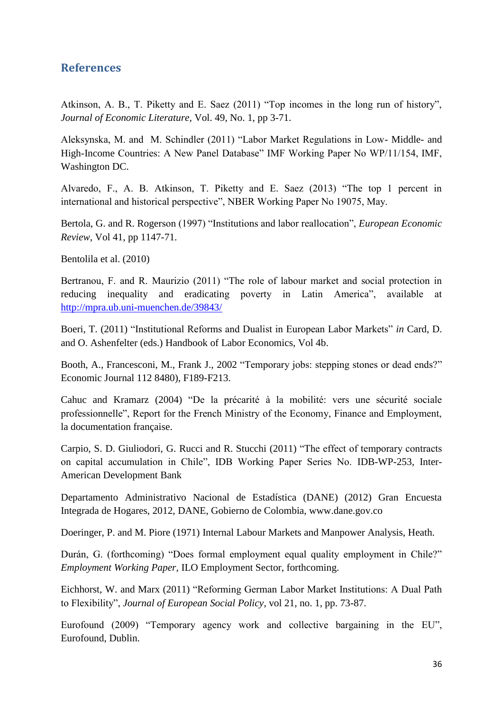## **References**

Atkinson, A. B., T. Piketty and E. Saez (2011) "Top incomes in the long run of history", *Journal of Economic Literature*, Vol. 49, No. 1, pp 3-71.

Aleksynska, M. and M. Schindler (2011) "Labor Market Regulations in Low- Middle- and High-Income Countries: A New Panel Database" IMF Working Paper No WP/11/154, IMF, Washington DC.

Alvaredo, F., A. B. Atkinson, T. Piketty and E. Saez (2013) "The top 1 percent in international and historical perspective", NBER Working Paper No 19075, May.

Bertola, G. and R. Rogerson (1997) "Institutions and labor reallocation", *European Economic Review*, Vol 41, pp 1147-71.

Bentolila et al. (2010)

Bertranou, F. and R. Maurizio (2011) "The role of labour market and social protection in reducing inequality and eradicating poverty in Latin America", available at <http://mpra.ub.uni-muenchen.de/39843/>

Boeri, T. (2011) "Institutional Reforms and Dualist in European Labor Markets" *in* Card, D. and O. Ashenfelter (eds.) Handbook of Labor Economics, Vol 4b.

Booth, A., Francesconi, M., Frank J., 2002 "Temporary jobs: stepping stones or dead ends?" Economic Journal 112 8480), F189-F213.

Cahuc and Kramarz (2004) "De la précarité à la mobilité: vers une sécurité sociale professionnelle", Report for the French Ministry of the Economy, Finance and Employment, la documentation française.

Carpio, S. D. Giuliodori, G. Rucci and R. Stucchi (2011) "The effect of temporary contracts on capital accumulation in Chile", IDB Working Paper Series No. IDB-WP-253, Inter-American Development Bank

Departamento Administrativo Nacional de Estadística (DANE) (2012) Gran Encuesta Integrada de Hogares, 2012, DANE, Gobierno de Colombia, www.dane.gov.co

Doeringer, P. and M. Piore (1971) Internal Labour Markets and Manpower Analysis, Heath.

Durán, G. (forthcoming) "Does formal employment equal quality employment in Chile?" *Employment Working Paper,* ILO Employment Sector, forthcoming.

Eichhorst, W. and Marx (2011) "Reforming German Labor Market Institutions: A Dual Path to Flexibility", *Journal of European Social Policy*, vol 21, no. 1, pp. 73-87.

Eurofound (2009) "Temporary agency work and collective bargaining in the EU", Eurofound, Dublin.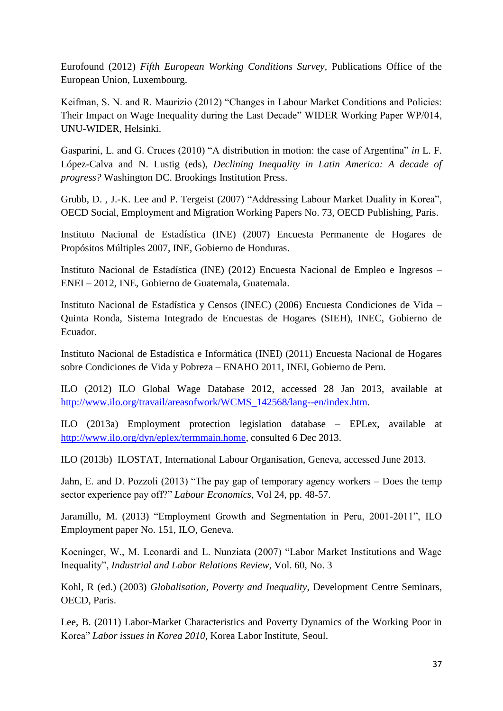Eurofound (2012) *Fifth European Working Conditions Survey*, Publications Office of the European Union, Luxembourg.

Keifman, S. N. and R. Maurizio (2012) "Changes in Labour Market Conditions and Policies: Their Impact on Wage Inequality during the Last Decade" WIDER Working Paper WP/014, UNU-WIDER, Helsinki.

Gasparini, L. and G. Cruces (2010) "A distribution in motion: the case of Argentina" *in* L. F. López-Calva and N. Lustig (eds), *Declining Inequality in Latin America: A decade of progress?* Washington DC. Brookings Institution Press.

Grubb, D. , J.-K. Lee and P. Tergeist (2007) "Addressing Labour Market Duality in Korea", OECD Social, Employment and Migration Working Papers No. 73, OECD Publishing, Paris.

Instituto Nacional de Estadística (INE) (2007) Encuesta Permanente de Hogares de Propósitos Múltiples 2007, INE, Gobierno de Honduras.

Instituto Nacional de Estadística (INE) (2012) Encuesta Nacional de Empleo e Ingresos – ENEI – 2012, INE, Gobierno de Guatemala, Guatemala.

Instituto Nacional de Estadística y Censos (INEC) (2006) Encuesta Condiciones de Vida – Quinta Ronda, Sistema Integrado de Encuestas de Hogares (SIEH), INEC, Gobierno de Ecuador.

Instituto Nacional de Estadística e Informática (INEI) (2011) Encuesta Nacional de Hogares sobre Condiciones de Vida y Pobreza – ENAHO 2011, INEI, Gobierno de Peru.

ILO (2012) ILO Global Wage Database 2012, accessed 28 Jan 2013, available at [http://www.ilo.org/travail/areasofwork/WCMS\\_142568/lang--en/index.htm.](http://www.ilo.org/travail/areasofwork/WCMS_142568/lang--en/index.htm)

ILO (2013a) Employment protection legislation database – EPLex, available at [http://www.ilo.org/dyn/eplex/termmain.home,](http://www.ilo.org/dyn/eplex/termmain.home) consulted 6 Dec 2013.

ILO (2013b) ILOSTAT, International Labour Organisation, Geneva, accessed June 2013.

Jahn, E. and D. Pozzoli (2013) "The pay gap of temporary agency workers – Does the temp sector experience pay off?" *Labour Economics*, Vol 24, pp. 48-57.

Jaramillo, M. (2013) "Employment Growth and Segmentation in Peru, 2001-2011", ILO Employment paper No. 151, ILO, Geneva.

Koeninger, W., M. Leonardi and L. Nunziata (2007) "Labor Market Institutions and Wage Inequality", *Industrial and Labor Relations Review*, Vol. 60, No. 3

Kohl, R (ed.) (2003) *Globalisation, Poverty and Inequality*, Development Centre Seminars, OECD, Paris.

Lee, B. (2011) Labor-Market Characteristics and Poverty Dynamics of the Working Poor in Korea" *Labor issues in Korea 2010,* Korea Labor Institute, Seoul.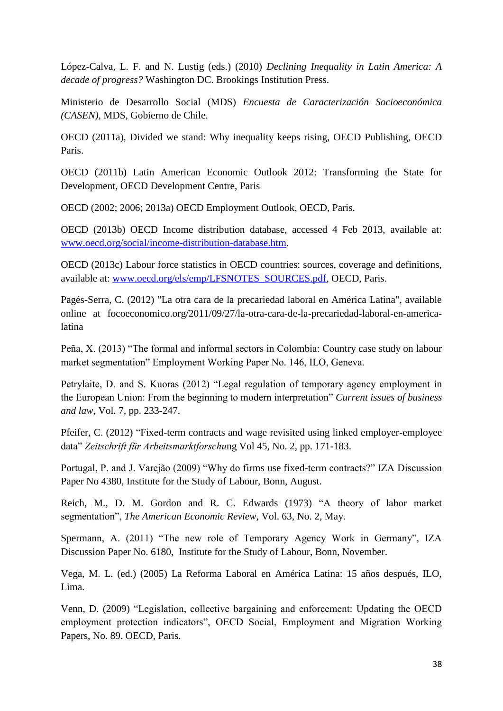López-Calva, L. F. and N. Lustig (eds.) (2010) *Declining Inequality in Latin America: A decade of progress?* Washington DC. Brookings Institution Press.

Ministerio de Desarrollo Social (MDS) *Encuesta de Caracterización Socioeconómica (CASEN),* MDS, Gobierno de Chile.

OECD (2011a), Divided we stand: Why inequality keeps rising, OECD Publishing, OECD Paris.

OECD (2011b) Latin American Economic Outlook 2012: Transforming the State for Development, OECD Development Centre, Paris

OECD (2002; 2006; 2013a) OECD Employment Outlook, OECD, Paris.

OECD (2013b) OECD Income distribution database, accessed 4 Feb 2013, available at: [www.oecd.org/social/income-distribution-database.htm.](http://www.oecd.org/social/income-distribution-database.htm)

OECD (2013c) Labour force statistics in OECD countries: sources, coverage and definitions, available at: [www.oecd.org/els/emp/LFSNOTES\\_SOURCES.pdf,](http://www.oecd.org/els/emp/LFSNOTES_SOURCES.pdf) OECD, Paris.

Pagés-Serra, C. (2012) "La otra cara de la precariedad laboral en América Latina", available online at focoeconomico.org/2011/09/27/la-otra-cara-de-la-precariedad-laboral-en-americalatina

Peña, X. (2013) "The formal and informal sectors in Colombia: Country case study on labour market segmentation" Employment Working Paper No. 146, ILO, Geneva.

Petrylaite, D. and S. Kuoras (2012) "Legal regulation of temporary agency employment in the European Union: From the beginning to modern interpretation" *Current issues of business and law,* Vol. 7, pp. 233-247.

Pfeifer, C. (2012) "Fixed-term contracts and wage revisited using linked employer-employee data" Zeitschrift für Arbeitsmarktforschung Vol 45, No. 2, pp. 171-183.

Portugal, P. and J. Varejão (2009) "Why do firms use fixed-term contracts?" IZA Discussion Paper No 4380, Institute for the Study of Labour, Bonn, August.

Reich, M., D. M. Gordon and R. C. Edwards (1973) "A theory of labor market segmentation", *The American Economic Review,* Vol. 63, No. 2, May.

Spermann, A. (2011) "The new role of Temporary Agency Work in Germany", IZA Discussion Paper No. 6180, Institute for the Study of Labour, Bonn, November.

Vega, M. L. (ed.) (2005) La Reforma Laboral en América Latina: 15 años después, ILO, Lima.

Venn, D. (2009) "Legislation, collective bargaining and enforcement: Updating the OECD employment protection indicators", OECD Social, Employment and Migration Working Papers, No. 89. OECD, Paris.